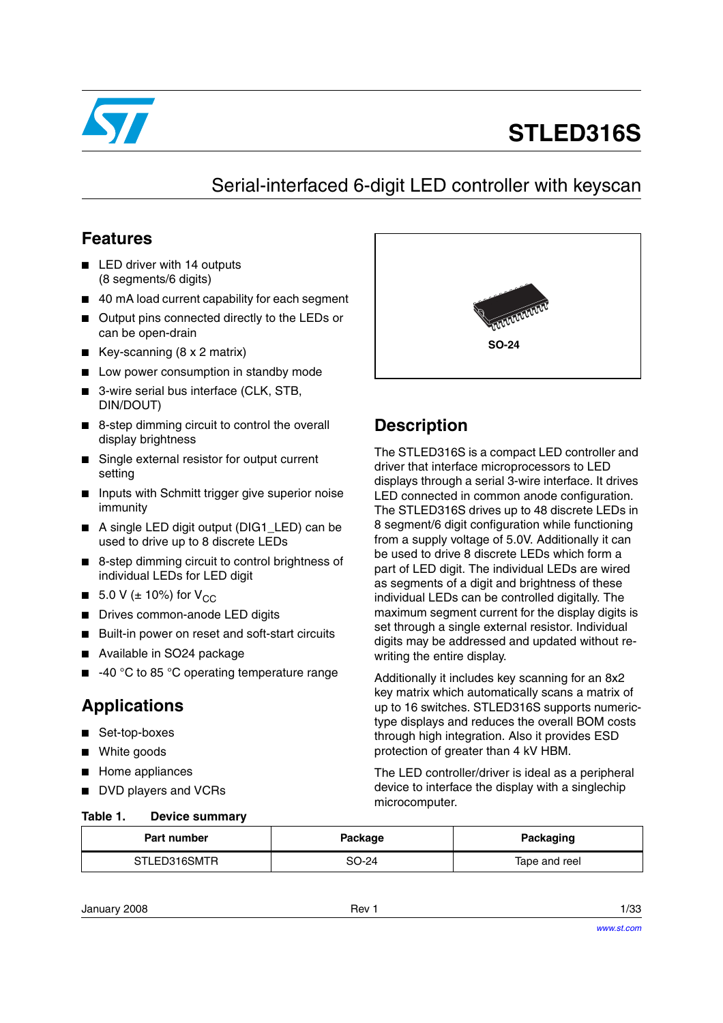

# **STLED316S**

# Serial-interfaced 6-digit LED controller with keyscan

### **Features**

- LED driver with 14 outputs (8 segments/6 digits)
- 40 mA load current capability for each segment
- Output pins connected directly to the LEDs or can be open-drain
- Key-scanning  $(8 \times 2 \text{ matrix})$
- Low power consumption in standby mode
- 3-wire serial bus interface (CLK, STB, DIN/DOUT)
- 8-step dimming circuit to control the overall display brightness
- Single external resistor for output current setting
- Inputs with Schmitt trigger give superior noise immunity
- A single LED digit output (DIG1\_LED) can be used to drive up to 8 discrete LEDs
- 8-step dimming circuit to control brightness of individual LEDs for LED digit
- 5.0 V ( $\pm$  10%) for V<sub>CC</sub>
- Drives common-anode LED digits
- Built-in power on reset and soft-start circuits
- Available in SO24 package
- -40 °C to 85 °C operating temperature range

## **Applications**

- Set-top-boxes
- White goods
- Home appliances
- DVD players and VCRs

#### <span id="page-0-0"></span>**Table 1. Device summary**



## **Description**

The STLED316S is a compact LED controller and driver that interface microprocessors to LED displays through a serial 3-wire interface. It drives LED connected in common anode configuration. The STLED316S drives up to 48 discrete LEDs in 8 segment/6 digit configuration while functioning from a supply voltage of 5.0V. Additionally it can be used to drive 8 discrete LEDs which form a part of LED digit. The individual LEDs are wired as segments of a digit and brightness of these individual LEDs can be controlled digitally. The maximum segment current for the display digits is set through a single external resistor. Individual digits may be addressed and updated without rewriting the entire display.

Additionally it includes key scanning for an 8x2 key matrix which automatically scans a matrix of up to 16 switches. STLED316S supports numerictype displays and reduces the overall BOM costs through high integration. Also it provides ESD protection of greater than 4 kV HBM.

The LED controller/driver is ideal as a peripheral device to interface the display with a singlechip microcomputer.

| Part number  | Package | Packaging     |  |
|--------------|---------|---------------|--|
| STLED316SMTR | SO-24   | Tape and reel |  |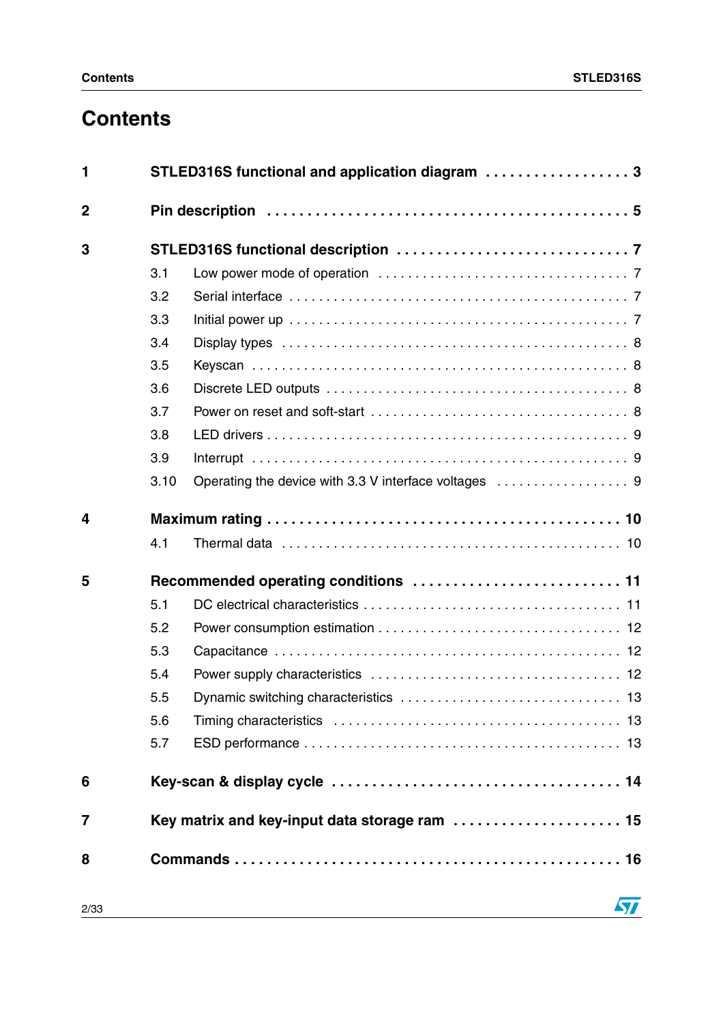# **Contents**

| 1           |      | STLED316S functional and application diagram 3 |
|-------------|------|------------------------------------------------|
| $\mathbf 2$ |      |                                                |
| 3           |      |                                                |
|             | 3.1  |                                                |
|             | 3.2  |                                                |
|             | 3.3  |                                                |
|             | 3.4  |                                                |
|             | 3.5  |                                                |
|             | 3.6  |                                                |
|             | 3.7  |                                                |
|             | 3.8  |                                                |
|             | 3.9  |                                                |
|             | 3.10 |                                                |
| 4           |      |                                                |
|             | 4.1  |                                                |
| 5           |      |                                                |
|             | 5.1  |                                                |
|             | 5.2  |                                                |
|             | 5.3  |                                                |
|             | 5.4  |                                                |
|             | 5.5  |                                                |
|             | 5.6  |                                                |
|             | 5.7  |                                                |
| 6           |      |                                                |
| 7           |      | Key matrix and key-input data storage ram  15  |
| 8           |      |                                                |
| 2/33        |      | 57                                             |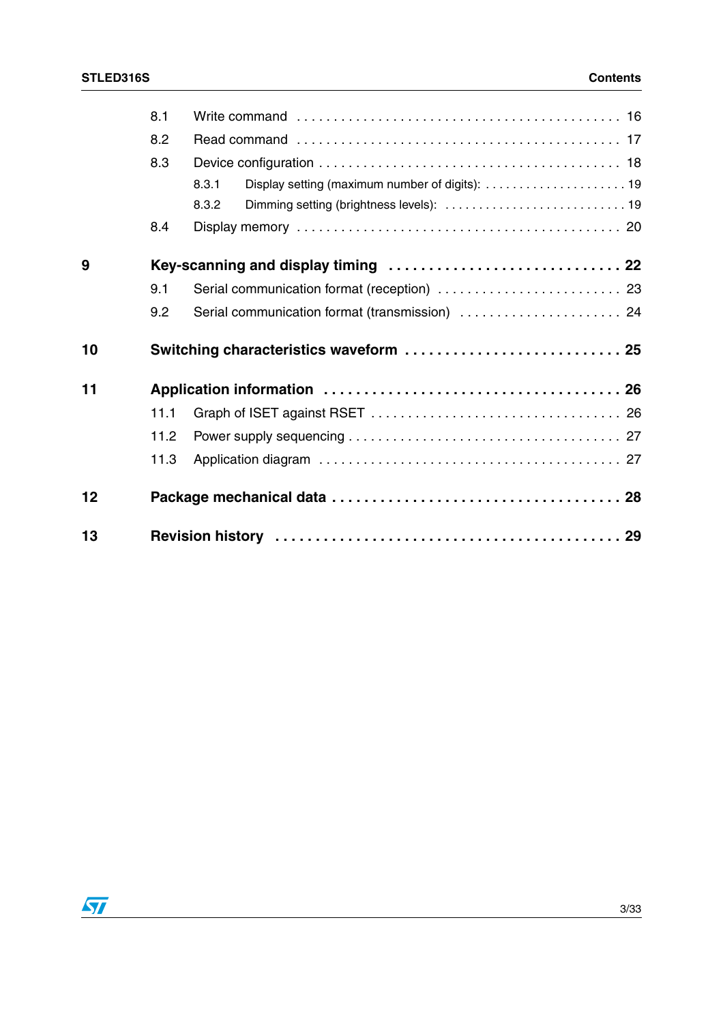|    | 8.1  |                                                          |  |
|----|------|----------------------------------------------------------|--|
|    | 8.2  |                                                          |  |
|    | 8.3  |                                                          |  |
|    |      | Display setting (maximum number of digits):  19<br>8.3.1 |  |
|    |      | 8.3.2                                                    |  |
|    | 8.4  |                                                          |  |
| 9  |      |                                                          |  |
|    | 9.1  | Serial communication format (reception)  23              |  |
|    | 9.2  | Serial communication format (transmission)  24           |  |
| 10 |      | Switching characteristics waveform  25                   |  |
| 11 |      |                                                          |  |
|    | 11.1 |                                                          |  |
|    | 11.2 |                                                          |  |
|    | 11.3 |                                                          |  |
|    |      |                                                          |  |
| 12 |      |                                                          |  |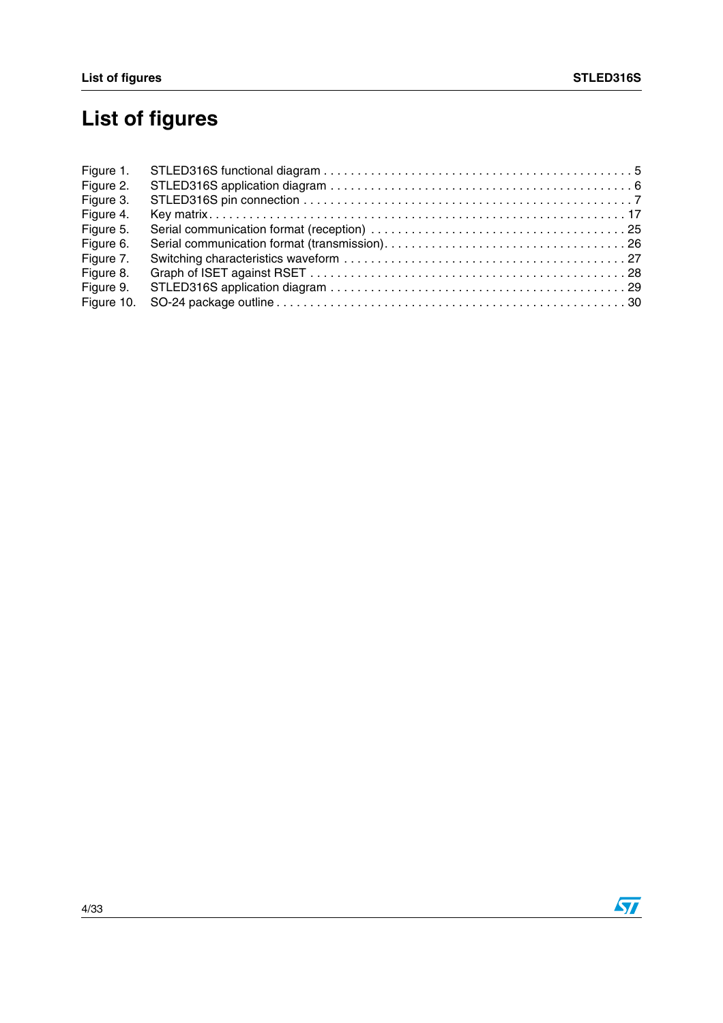# <span id="page-3-0"></span>**List of figures**

| Figure 1.  |  |
|------------|--|
| Figure 2.  |  |
| Figure 3.  |  |
| Figure 4.  |  |
| Figure 5.  |  |
| Figure 6.  |  |
| Figure 7.  |  |
| Figure 8.  |  |
| Figure 9.  |  |
| Figure 10. |  |

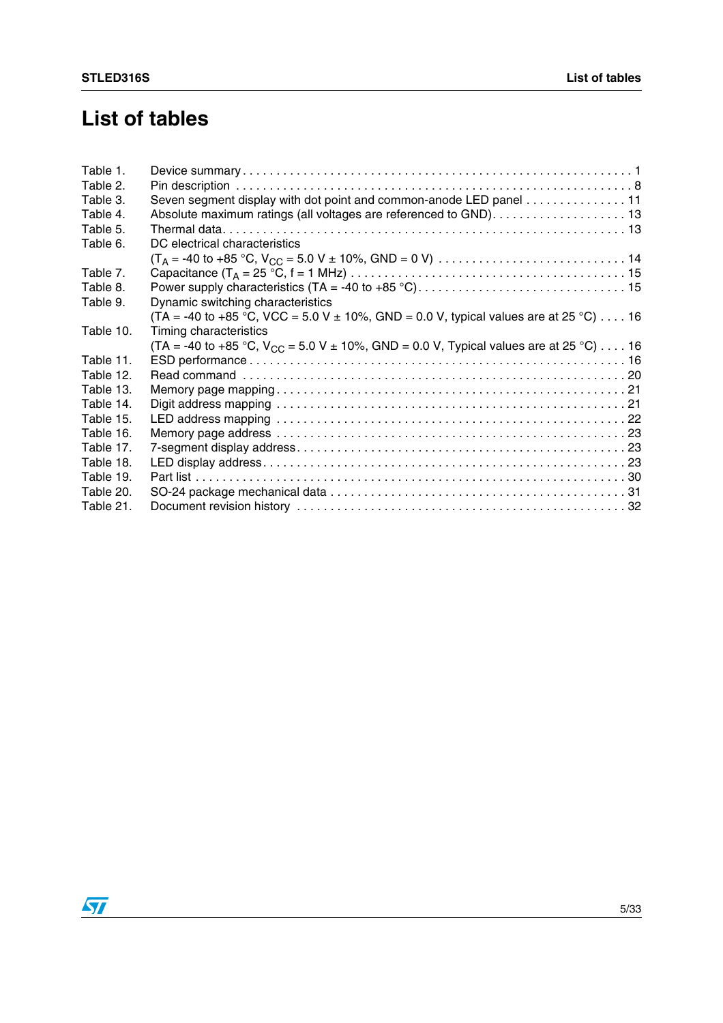# **List of tables**

| Table 1.  |                                                                                                              |  |
|-----------|--------------------------------------------------------------------------------------------------------------|--|
| Table 2.  |                                                                                                              |  |
| Table 3.  | Seven segment display with dot point and common-anode LED panel 11                                           |  |
| Table 4.  | Absolute maximum ratings (all voltages are referenced to GND). 13                                            |  |
| Table 5.  |                                                                                                              |  |
| Table 6.  | DC electrical characteristics                                                                                |  |
|           |                                                                                                              |  |
| Table 7.  |                                                                                                              |  |
| Table 8.  | Power supply characteristics (TA = -40 to +85 °C). $\dots\dots\dots\dots\dots\dots\dots\dots\dots\dots\dots$ |  |
| Table 9.  | Dynamic switching characteristics                                                                            |  |
|           | (TA = -40 to +85 °C, VCC = 5.0 V ± 10%, GND = 0.0 V, typical values are at 25 °C) 16                         |  |
| Table 10. | Timing characteristics                                                                                       |  |
|           | (TA = -40 to +85 °C, $V_{CC}$ = 5.0 V ± 10%, GND = 0.0 V, Typical values are at 25 °C) 16                    |  |
| Table 11. |                                                                                                              |  |
| Table 12. |                                                                                                              |  |
| Table 13. |                                                                                                              |  |
| Table 14. |                                                                                                              |  |
| Table 15. |                                                                                                              |  |
| Table 16. |                                                                                                              |  |
| Table 17. |                                                                                                              |  |
| Table 18. |                                                                                                              |  |
| Table 19. |                                                                                                              |  |
| Table 20. |                                                                                                              |  |
| Table 21. |                                                                                                              |  |

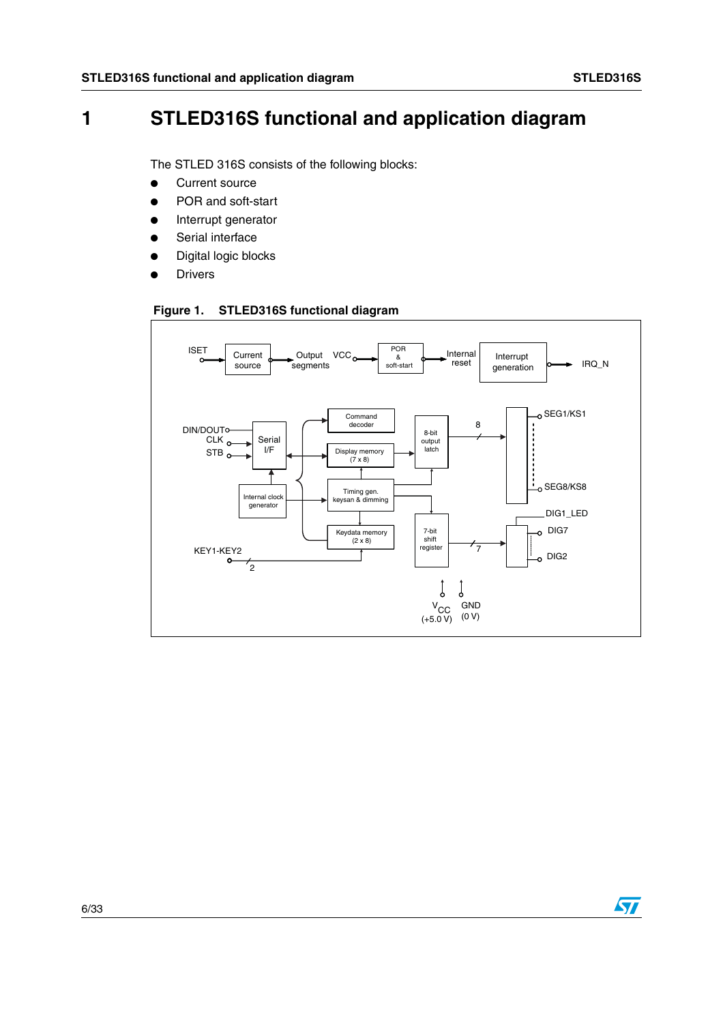# **1 STLED316S functional and application diagram**

The STLED 316S consists of the following blocks:

- Current source
- POR and soft-start
- Interrupt generator
- Serial interface
- Digital logic blocks
- **Drivers**

#### <span id="page-5-0"></span>**Figure 1. STLED316S functional diagram**



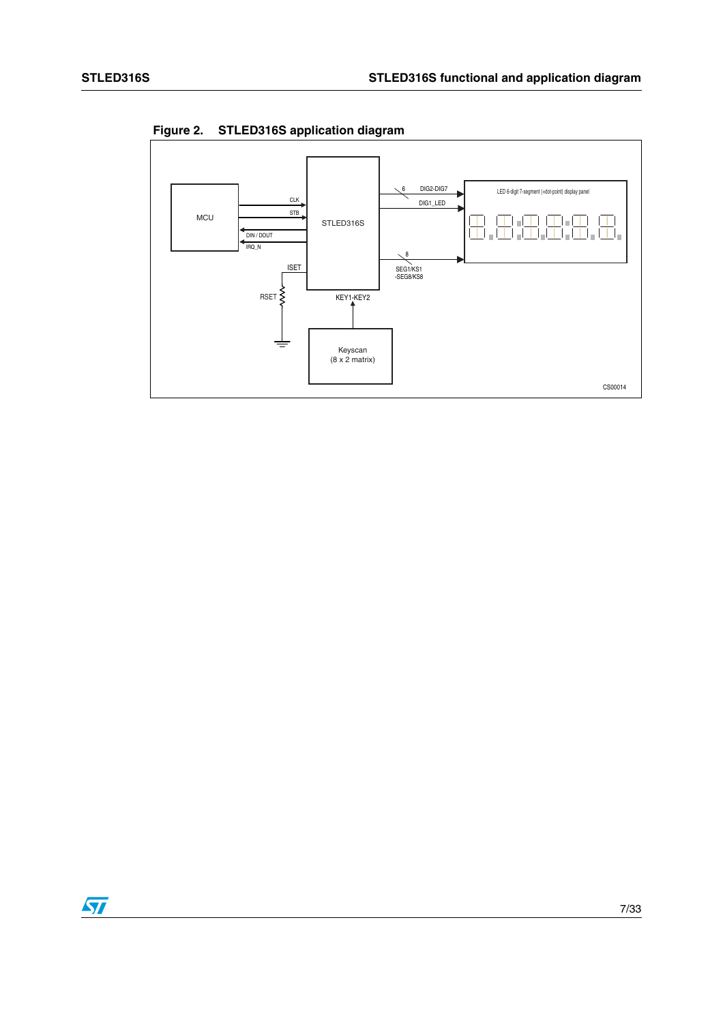

<span id="page-6-0"></span>**Figure 2. STLED316S application diagram**

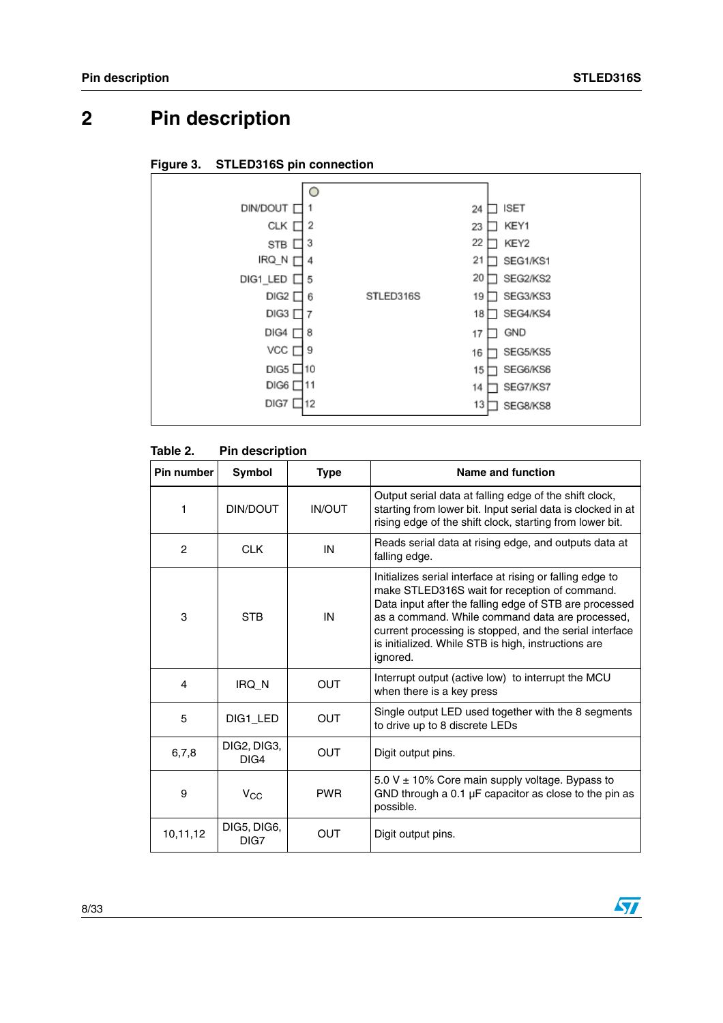# <span id="page-7-0"></span>**2 Pin description**

#### <span id="page-7-1"></span>**Figure 3. STLED316S pin connection**



#### <span id="page-7-2"></span>**Table 2. Pin description**

| Pin number     | <b>Symbol</b>       | <b>Type</b>   | Name and function                                                                                                                                                                                                                                                                                                                                     |  |
|----------------|---------------------|---------------|-------------------------------------------------------------------------------------------------------------------------------------------------------------------------------------------------------------------------------------------------------------------------------------------------------------------------------------------------------|--|
| 1              | DIN/DOUT            | <b>IN/OUT</b> | Output serial data at falling edge of the shift clock,<br>starting from lower bit. Input serial data is clocked in at<br>rising edge of the shift clock, starting from lower bit.                                                                                                                                                                     |  |
| $\overline{2}$ | <b>CLK</b>          | IN            | Reads serial data at rising edge, and outputs data at<br>falling edge.                                                                                                                                                                                                                                                                                |  |
| 3              | <b>STB</b>          | IN            | Initializes serial interface at rising or falling edge to<br>make STLED316S wait for reception of command.<br>Data input after the falling edge of STB are processed<br>as a command. While command data are processed,<br>current processing is stopped, and the serial interface<br>is initialized. While STB is high, instructions are<br>ignored. |  |
| 4              | IRQ N               | <b>OUT</b>    | Interrupt output (active low) to interrupt the MCU<br>when there is a key press                                                                                                                                                                                                                                                                       |  |
| 5              | DIG1 LED            | <b>OUT</b>    | Single output LED used together with the 8 segments<br>to drive up to 8 discrete LEDs                                                                                                                                                                                                                                                                 |  |
| 6,7,8          | DIG2, DIG3,<br>DIG4 | OUT           | Digit output pins.                                                                                                                                                                                                                                                                                                                                    |  |
| 9              | $V_{CC}$            | <b>PWR</b>    | 5.0 V $\pm$ 10% Core main supply voltage. Bypass to<br>GND through a $0.1 \mu$ F capacitor as close to the pin as<br>possible.                                                                                                                                                                                                                        |  |
| 10,11,12       | DIG5, DIG6,<br>DIG7 | OUT           | Digit output pins.                                                                                                                                                                                                                                                                                                                                    |  |

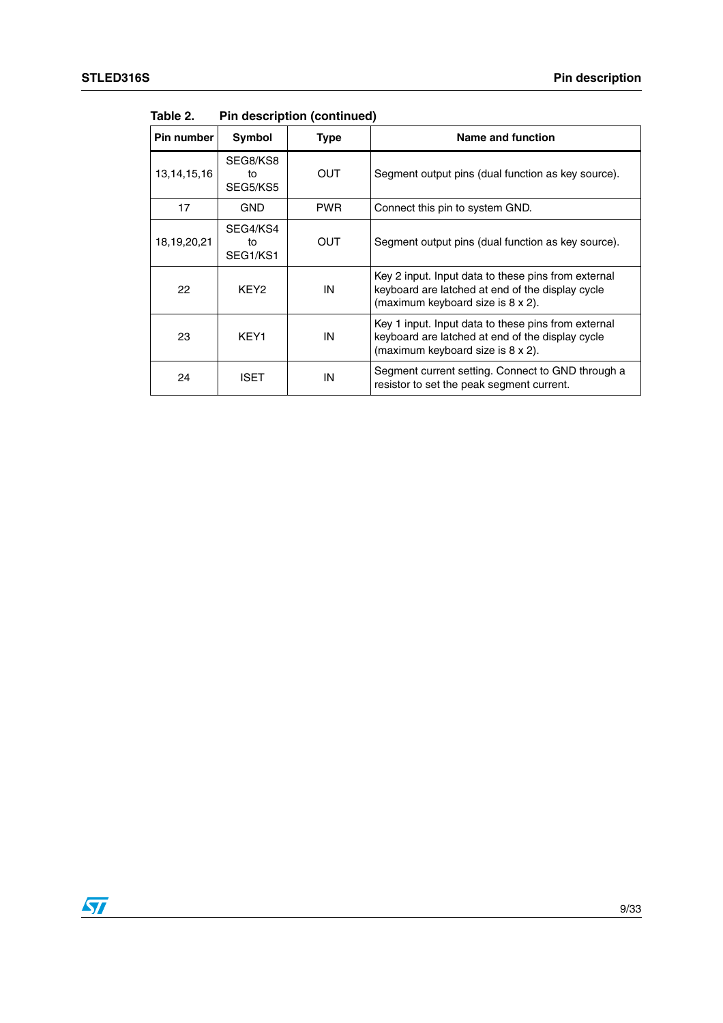| Pin number     | Symbol                     | <b>Type</b> | Name and function                                                                                                                            |
|----------------|----------------------------|-------------|----------------------------------------------------------------------------------------------------------------------------------------------|
| 13, 14, 15, 16 | SEG8/KS8<br>tο<br>SEG5/KS5 | OUT         | Segment output pins (dual function as key source).                                                                                           |
| 17             | <b>GND</b>                 | <b>PWR</b>  | Connect this pin to system GND.                                                                                                              |
| 18,19,20,21    | SEG4/KS4<br>tο<br>SEG1/KS1 | OUT         | Segment output pins (dual function as key source).                                                                                           |
| 22             | KEY <sub>2</sub>           | IN          | Key 2 input. Input data to these pins from external<br>keyboard are latched at end of the display cycle<br>(maximum keyboard size is 8 x 2). |
| 23             | KEY1                       | IN          | Key 1 input. Input data to these pins from external<br>keyboard are latched at end of the display cycle<br>(maximum keyboard size is 8 x 2). |
| 24             | ISET                       | IN          | Segment current setting. Connect to GND through a<br>resistor to set the peak segment current.                                               |

**Table 2. Pin description (continued)**

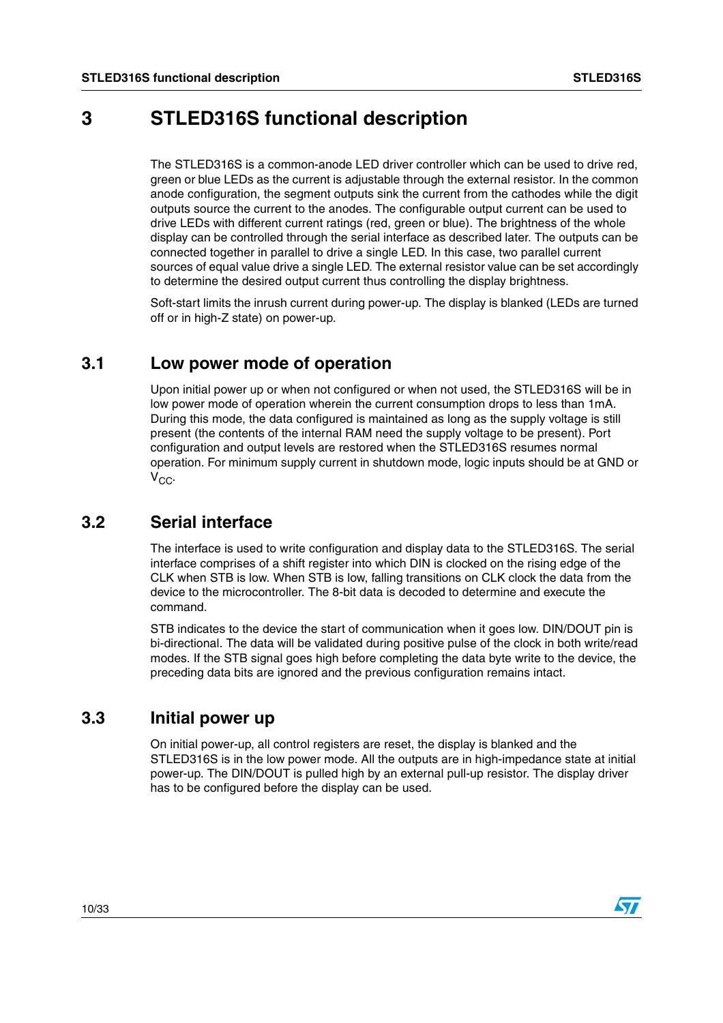## <span id="page-9-0"></span>**3 STLED316S functional description**

The STLED316S is a common-anode LED driver controller which can be used to drive red, green or blue LEDs as the current is adjustable through the external resistor. In the common anode configuration, the segment outputs sink the current from the cathodes while the digit outputs source the current to the anodes. The configurable output current can be used to drive LEDs with different current ratings (red, green or blue). The brightness of the whole display can be controlled through the serial interface as described later. The outputs can be connected together in parallel to drive a single LED. In this case, two parallel current sources of equal value drive a single LED. The external resistor value can be set accordingly to determine the desired output current thus controlling the display brightness.

Soft-start limits the inrush current during power-up. The display is blanked (LEDs are turned off or in high-Z state) on power-up.

### <span id="page-9-1"></span>**3.1 Low power mode of operation**

Upon initial power up or when not configured or when not used, the STLED316S will be in low power mode of operation wherein the current consumption drops to less than 1mA. During this mode, the data configured is maintained as long as the supply voltage is still present (the contents of the internal RAM need the supply voltage to be present). Port configuration and output levels are restored when the STLED316S resumes normal operation. For minimum supply current in shutdown mode, logic inputs should be at GND or  $V_{CC}$ .

### <span id="page-9-2"></span>**3.2 Serial interface**

The interface is used to write configuration and display data to the STLED316S. The serial interface comprises of a shift register into which DIN is clocked on the rising edge of the CLK when STB is low. When STB is low, falling transitions on CLK clock the data from the device to the microcontroller. The 8-bit data is decoded to determine and execute the command.

STB indicates to the device the start of communication when it goes low. DIN/DOUT pin is bi-directional. The data will be validated during positive pulse of the clock in both write/read modes. If the STB signal goes high before completing the data byte write to the device, the preceding data bits are ignored and the previous configuration remains intact.

### <span id="page-9-3"></span>**3.3 Initial power up**

On initial power-up, all control registers are reset, the display is blanked and the STLED316S is in the low power mode. All the outputs are in high-impedance state at initial power-up. The DIN/DOUT is pulled high by an external pull-up resistor. The display driver has to be configured before the display can be used.

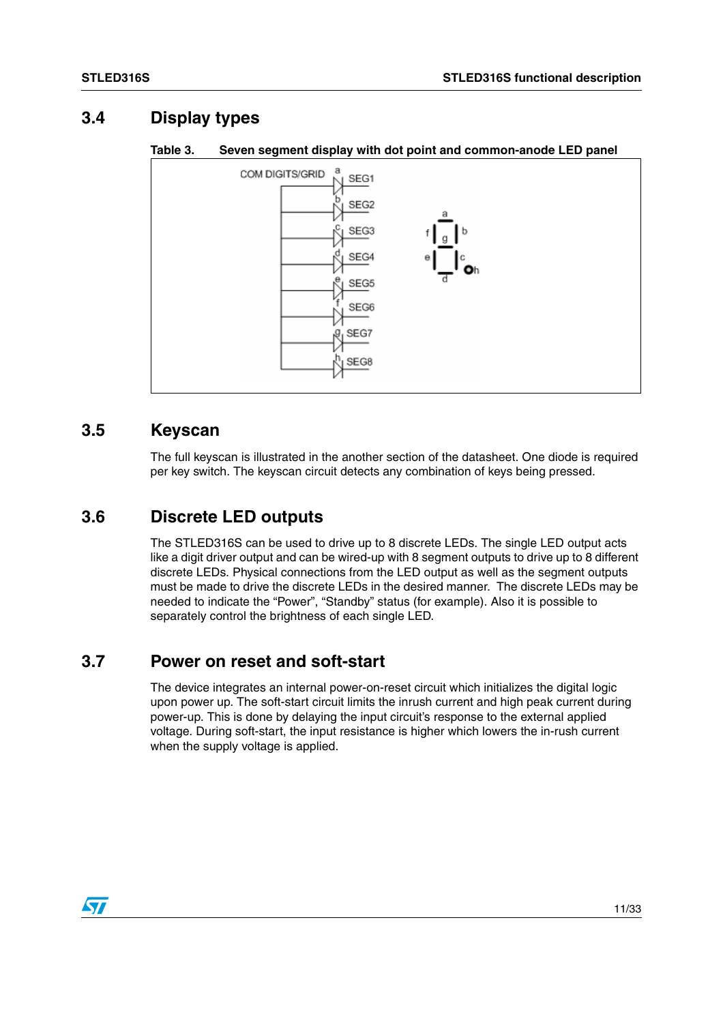### <span id="page-10-0"></span>**3.4 Display types**



#### <span id="page-10-4"></span>**Table 3. Seven segment display with dot point and common-anode LED panel**

### <span id="page-10-1"></span>**3.5 Keyscan**

The full keyscan is illustrated in the another section of the datasheet. One diode is required per key switch. The keyscan circuit detects any combination of keys being pressed.

### <span id="page-10-2"></span>**3.6 Discrete LED outputs**

The STLED316S can be used to drive up to 8 discrete LEDs. The single LED output acts like a digit driver output and can be wired-up with 8 segment outputs to drive up to 8 different discrete LEDs. Physical connections from the LED output as well as the segment outputs must be made to drive the discrete LEDs in the desired manner. The discrete LEDs may be needed to indicate the "Power", "Standby" status (for example). Also it is possible to separately control the brightness of each single LED.

### <span id="page-10-3"></span>**3.7 Power on reset and soft-start**

The device integrates an internal power-on-reset circuit which initializes the digital logic upon power up. The soft-start circuit limits the inrush current and high peak current during power-up. This is done by delaying the input circuit's response to the external applied voltage. During soft-start, the input resistance is higher which lowers the in-rush current when the supply voltage is applied.

 $\sqrt{2}$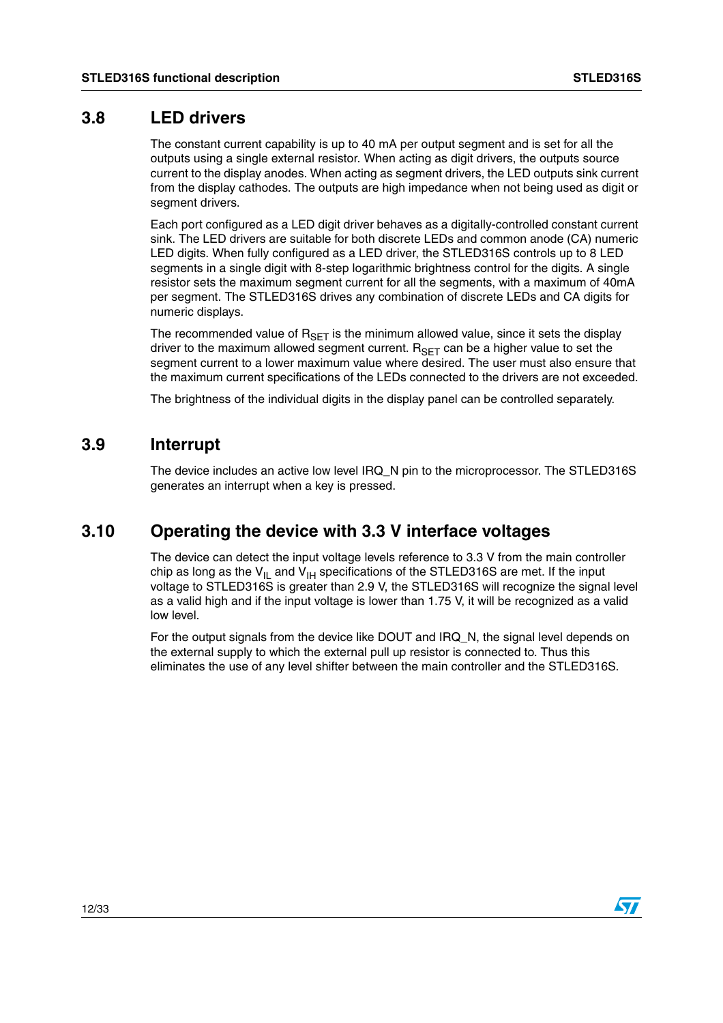#### <span id="page-11-0"></span>**3.8 LED drivers**

The constant current capability is up to 40 mA per output segment and is set for all the outputs using a single external resistor. When acting as digit drivers, the outputs source current to the display anodes. When acting as segment drivers, the LED outputs sink current from the display cathodes. The outputs are high impedance when not being used as digit or segment drivers.

Each port configured as a LED digit driver behaves as a digitally-controlled constant current sink. The LED drivers are suitable for both discrete LEDs and common anode (CA) numeric LED digits. When fully configured as a LED driver, the STLED316S controls up to 8 LED segments in a single digit with 8-step logarithmic brightness control for the digits. A single resistor sets the maximum segment current for all the segments, with a maximum of 40mA per segment. The STLED316S drives any combination of discrete LEDs and CA digits for numeric displays.

The recommended value of  $R_{\text{SET}}$  is the minimum allowed value, since it sets the display driver to the maximum allowed segment current.  $R_{\text{SET}}$  can be a higher value to set the segment current to a lower maximum value where desired. The user must also ensure that the maximum current specifications of the LEDs connected to the drivers are not exceeded.

The brightness of the individual digits in the display panel can be controlled separately.

### <span id="page-11-1"></span>**3.9 Interrupt**

The device includes an active low level IRQ\_N pin to the microprocessor. The STLED316S generates an interrupt when a key is pressed.

### <span id="page-11-2"></span>**3.10 Operating the device with 3.3 V interface voltages**

The device can detect the input voltage levels reference to 3.3 V from the main controller chip as long as the  $V_{II}$  and  $V_{IH}$  specifications of the STLED316S are met. If the input voltage to STLED316S is greater than 2.9 V, the STLED316S will recognize the signal level as a valid high and if the input voltage is lower than 1.75 V, it will be recognized as a valid low level.

For the output signals from the device like DOUT and IRQ\_N, the signal level depends on the external supply to which the external pull up resistor is connected to. Thus this eliminates the use of any level shifter between the main controller and the STLED316S.

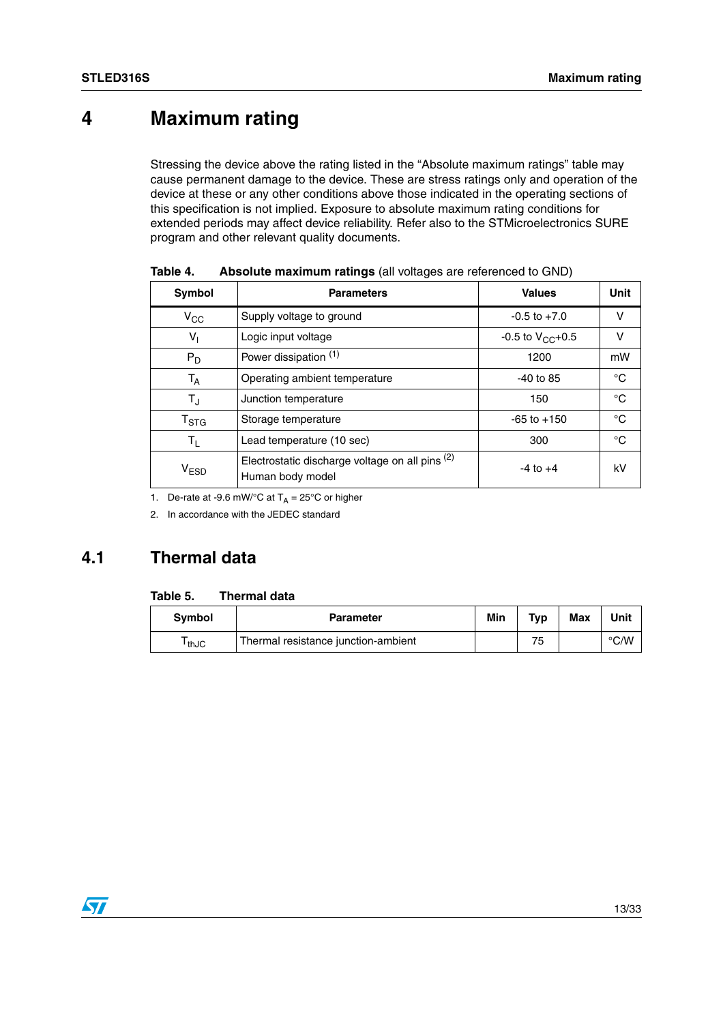# <span id="page-12-0"></span>**4 Maximum rating**

Stressing the device above the rating listed in the "Absolute maximum ratings" table may cause permanent damage to the device. These are stress ratings only and operation of the device at these or any other conditions above those indicated in the operating sections of this specification is not implied. Exposure to absolute maximum rating conditions for extended periods may affect device reliability. Refer also to the STMicroelectronics SURE program and other relevant quality documents.

| Symbol                                  | <b>Parameters</b>                                                   | <b>Values</b>         | Unit        |
|-----------------------------------------|---------------------------------------------------------------------|-----------------------|-------------|
| $V_{\rm CC}$                            | Supply voltage to ground                                            | $-0.5$ to $+7.0$      | v           |
| $V_{1}$                                 | Logic input voltage                                                 | -0.5 to $V_{CC}$ +0.5 | v           |
| Power dissipation (1)<br>$P_D$          |                                                                     | 1200                  | mW          |
| $T_A$                                   | Operating ambient temperature                                       | $-40$ to 85           | °C          |
| $T_{\text{J}}$                          | Junction temperature                                                | 150                   | °C          |
| T <sub>STG</sub><br>Storage temperature |                                                                     | $-65$ to $+150$       | $^{\circ}C$ |
| $T_{L}$                                 | Lead temperature (10 sec)                                           | 300                   | °C          |
| V <sub>ESD</sub>                        | Electrostatic discharge voltage on all pins (2)<br>Human body model | $-4$ to $+4$          | kV          |

<span id="page-12-2"></span>**Table 4. Absolute maximum ratings** (all voltages are referenced to GND)

1. De-rate at -9.6 mW/°C at  $T_A = 25$ °C or higher

2. In accordance with the JEDEC standard

### <span id="page-12-1"></span>**4.1 Thermal data**

#### <span id="page-12-3"></span>**Table 5. Thermal data**

| <b>Symbol</b> | <b>Parameter</b>                    | Min | T <sub>VD</sub> | Max | Unit |
|---------------|-------------------------------------|-----|-----------------|-----|------|
| thJC          | Thermal resistance junction-ambient |     | フロ              |     | °C/W |

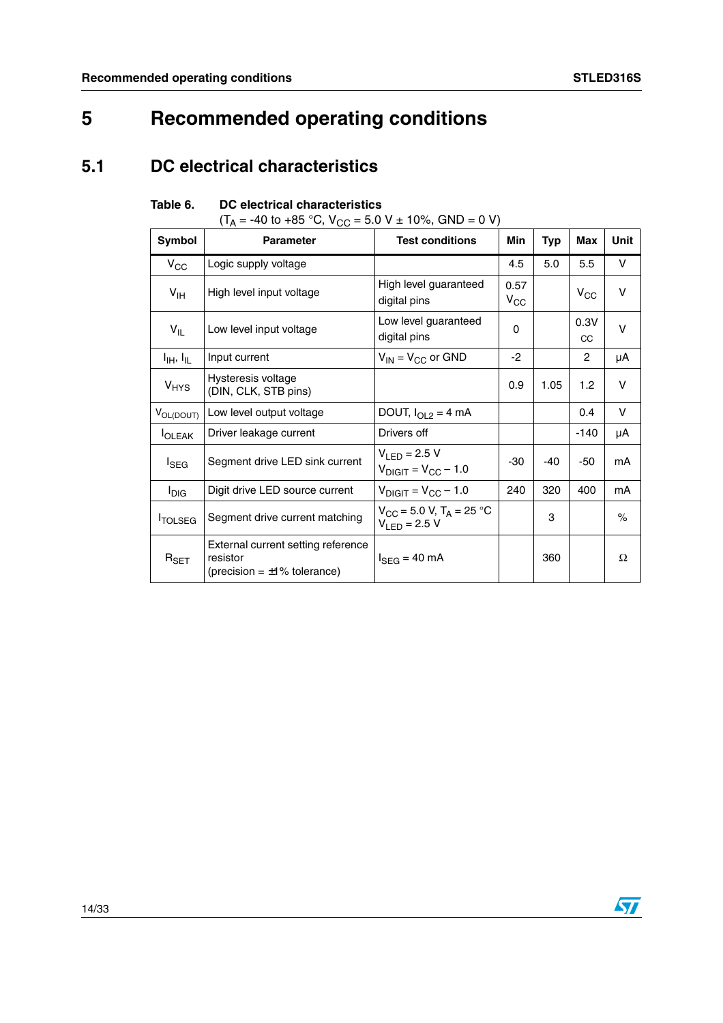# <span id="page-13-0"></span>**5 Recommended operating conditions**

### <span id="page-13-1"></span>**5.1 DC electrical characteristics**

<span id="page-13-2"></span>

| Table 6. | DC electrical characteristics |
|----------|-------------------------------|
|          |                               |

 $(T_A = -40 \text{ to } +85 \text{ °C}, V_{CC} = 5.0 \text{ V} \pm 10\%$ , GND = 0 V)

| Symbol                            | $\sqrt{ }$<br><b>Parameter</b>                                                      | <b>Test conditions</b>                                             | Min                  | <b>Typ</b> | Max        | Unit |
|-----------------------------------|-------------------------------------------------------------------------------------|--------------------------------------------------------------------|----------------------|------------|------------|------|
| $V_{\rm CC}$                      | Logic supply voltage                                                                |                                                                    | 4.5                  | 5.0        | 5.5        | V    |
| V <sub>IH</sub>                   | High level input voltage                                                            | High level guaranteed<br>digital pins                              | 0.57<br>$V_{\rm CC}$ |            | $V_{CC}$   | v    |
| $V_{IL}$                          | Low level input voltage                                                             | Low level guaranteed<br>digital pins                               | 0                    |            | 0.3V<br>CC | v    |
| $I_{\text{IH}}$ , $I_{\text{IL}}$ | Input current                                                                       | $V_{IN}$ = $V_{CC}$ or GND                                         | $-2$                 |            | 2          | μA   |
| <b>V<sub>HYS</sub></b>            | Hysteresis voltage<br>(DIN, CLK, STB pins)                                          |                                                                    | 0.9                  | 1.05       | 1.2        | v    |
| VOL(DOUT)                         | Low level output voltage                                                            | DOUT, $I_{OL2} = 4$ mA                                             |                      |            | 0.4        | V    |
| <b>I</b> OLEAK                    | Driver leakage current                                                              | Drivers off                                                        |                      |            | $-140$     | μA   |
| $I_{\text{SEG}}$                  | Segment drive LED sink current                                                      | $V_{LED} = 2.5 V$<br>$V_{\text{DIGIT}} = V_{\text{CC}} - 1.0$      | -30                  | -40        | -50        | mA   |
| $I_{\text{DIG}}$                  | Digit drive LED source current                                                      | $V_{\text{DIGIT}} = V_{\text{CC}} - 1.0$                           | 240                  | 320        | 400        | mA   |
| <b>TOLSEG</b>                     | Segment drive current matching                                                      | $V_{CC}$ = 5.0 V, T <sub>A</sub> = 25 °C<br>$V_{\text{F}}$ = 2.5 V |                      | 3          |            | $\%$ |
| $R_{\mathsf{SET}}$                | External current setting reference<br>resistor<br>(precision = $\pm 1\%$ tolerance) | $I_{SEG}$ = 40 mA                                                  |                      | 360        |            | Ω    |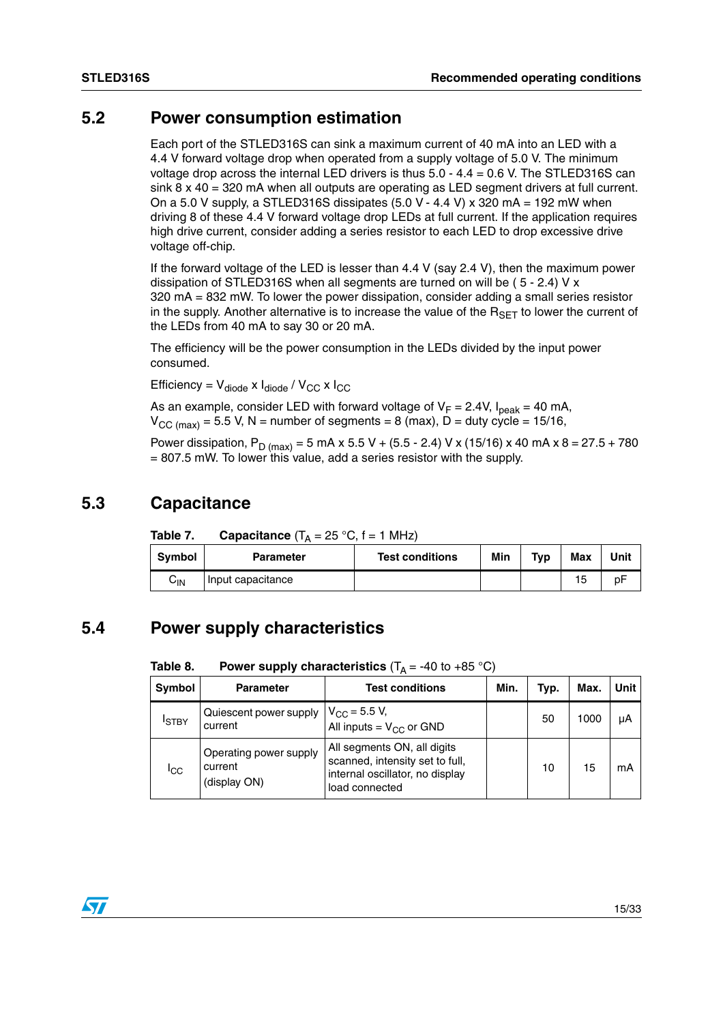### <span id="page-14-0"></span>**5.2 Power consumption estimation**

Each port of the STLED316S can sink a maximum current of 40 mA into an LED with a 4.4 V forward voltage drop when operated from a supply voltage of 5.0 V. The minimum voltage drop across the internal LED drivers is thus 5.0 - 4.4 = 0.6 V. The STLED316S can sink 8 x 40 = 320 mA when all outputs are operating as LED segment drivers at full current. On a 5.0 V supply, a STLED316S dissipates  $(5.0 V - 4.4 V) \times 320$  mA = 192 mW when driving 8 of these 4.4 V forward voltage drop LEDs at full current. If the application requires high drive current, consider adding a series resistor to each LED to drop excessive drive voltage off-chip.

If the forward voltage of the LED is lesser than 4.4 V (say 2.4 V), then the maximum power dissipation of STLED316S when all segments are turned on will be ( 5 - 2.4) V x 320 mA = 832 mW. To lower the power dissipation, consider adding a small series resistor in the supply. Another alternative is to increase the value of the  $R_{\text{SFT}}$  to lower the current of the LEDs from 40 mA to say 30 or 20 mA.

The efficiency will be the power consumption in the LEDs divided by the input power consumed.

Efficiency =  $V_{\text{diode}} \times I_{\text{diode}} / V_{\text{CC}} \times I_{\text{CC}}$ 

As an example, consider LED with forward voltage of  $V_F = 2.4V$ ,  $I_{peak} = 40$  mA,  $V_{\text{CC (max)}}$  = 5.5 V, N = number of segments = 8 (max), D = duty cycle = 15/16,

Power dissipation, P<sub>D (max)</sub> = 5 mA x 5.5 V + (5.5 - 2.4) V x (15/16) x 40 mA x 8 = 27.5 + 780 = 807.5 mW. To lower this value, add a series resistor with the supply.

#### <span id="page-14-1"></span>**5.3 Capacitance**

<span id="page-14-3"></span>Table 7. **Capacitance**  $(T_A = 25 \text{ °C}, f = 1 \text{ MHz})$ 

| Symbol          | <b>Parameter</b>    | <b>Test conditions</b> | Min | Typ | Max | Unit |
|-----------------|---------------------|------------------------|-----|-----|-----|------|
| $C_{\text{IN}}$ | I Input capacitance |                        |     |     | 15  | рF   |

#### <span id="page-14-2"></span>**5.4 Power supply characteristics**

<span id="page-14-4"></span>**Table 8.** Power supply characteristics  $(T_A = -40 \text{ to } +85 \text{ °C})$ 

| Symbol          | <b>Parameter</b>                                  | <b>Test conditions</b>                                                                                              | Min. | Typ. | Max. | Unit l |
|-----------------|---------------------------------------------------|---------------------------------------------------------------------------------------------------------------------|------|------|------|--------|
| <b>ISTBY</b>    | Quiescent power supply<br>current                 | $V_{\rm CC}$ = 5.5 V,<br>All inputs = $V_{CC}$ or GND                                                               |      | 50   | 1000 | μA     |
| <sup>I</sup> CC | Operating power supply<br>current<br>(display ON) | All segments ON, all digits<br>scanned, intensity set to full,<br>internal oscillator, no display<br>load connected |      | 10   | 15   | mА     |

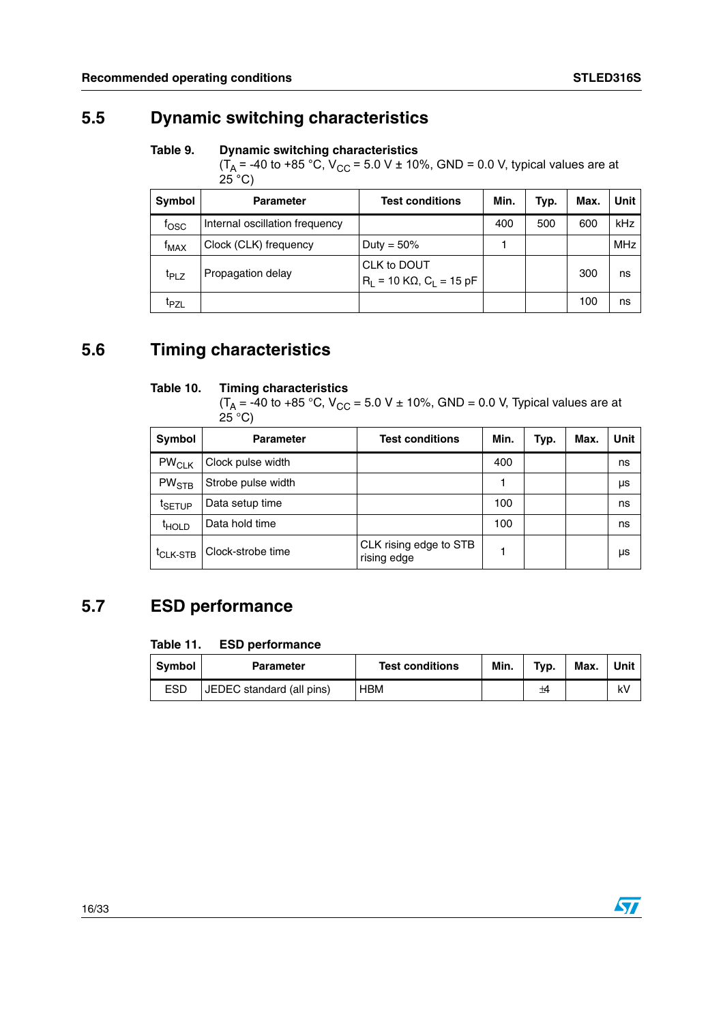### <span id="page-15-0"></span>**5.5 Dynamic switching characteristics**

#### <span id="page-15-3"></span>Table 9. **Dynamic switching characteristics**

 $(T_A = -40 \text{ to } +85 \text{ °C}, V_{CC} = 5.0 \text{ V } \pm 10\%$ , GND = 0.0 V, typical values are at  $25^{\circ}$ C)

| Symbol           | <b>Parameter</b>               | <b>Test conditions</b>                            | Min. | Typ. | Max. | Unit       |
|------------------|--------------------------------|---------------------------------------------------|------|------|------|------------|
| fosc             | Internal oscillation frequency |                                                   | 400  | 500  | 600  | kHz        |
| <sup>†</sup> MAX | Clock (CLK) frequency          | Duty = $50\%$                                     |      |      |      | <b>MHz</b> |
| <b>T</b> PLZ     | Propagation delay              | CLK to DOUT<br>$R_1 = 10 K\Omega$ , $C_1 = 15 pF$ |      |      | 300  | ns         |
| <sup>I</sup> PZL |                                |                                                   |      |      | 100  | ns         |

### <span id="page-15-1"></span>**5.6 Timing characteristics**

#### <span id="page-15-4"></span>**Table 10. Timing characteristics**

 $(T_A = -40 \text{ to } +85 \text{ °C}, V_{CC} = 5.0 V ± 10\%$ , GND = 0.0 V, Typical values are at  $25^{\circ}$ C)

| Symbol               | <b>Parameter</b>   | <b>Test conditions</b>                | Min. | Typ. | Max. | Unit |
|----------------------|--------------------|---------------------------------------|------|------|------|------|
| $PW_{\mathsf{CLK}}$  | Clock pulse width  |                                       | 400  |      |      | ns   |
| $PW_{STB}$           | Strobe pulse width |                                       |      |      |      | μs   |
| <sup>I</sup> SETUP   | Data setup time    |                                       | 100  |      |      | ns   |
| <sup>t</sup> HOLD    | Data hold time     |                                       | 100  |      |      | ns   |
| <sup>t</sup> CLK-STB | Clock-strobe time  | CLK rising edge to STB<br>rising edge |      |      |      | μs   |

### <span id="page-15-2"></span>**5.7 ESD performance**

#### <span id="page-15-5"></span>**Table 11. ESD performance**

| Symbol     | <b>Parameter</b>          | <b>Test conditions</b> | Min. | Typ. | Max. | Unit |
|------------|---------------------------|------------------------|------|------|------|------|
| <b>ESD</b> | JEDEC standard (all pins) | HBM                    |      | ±4   |      | k٧   |

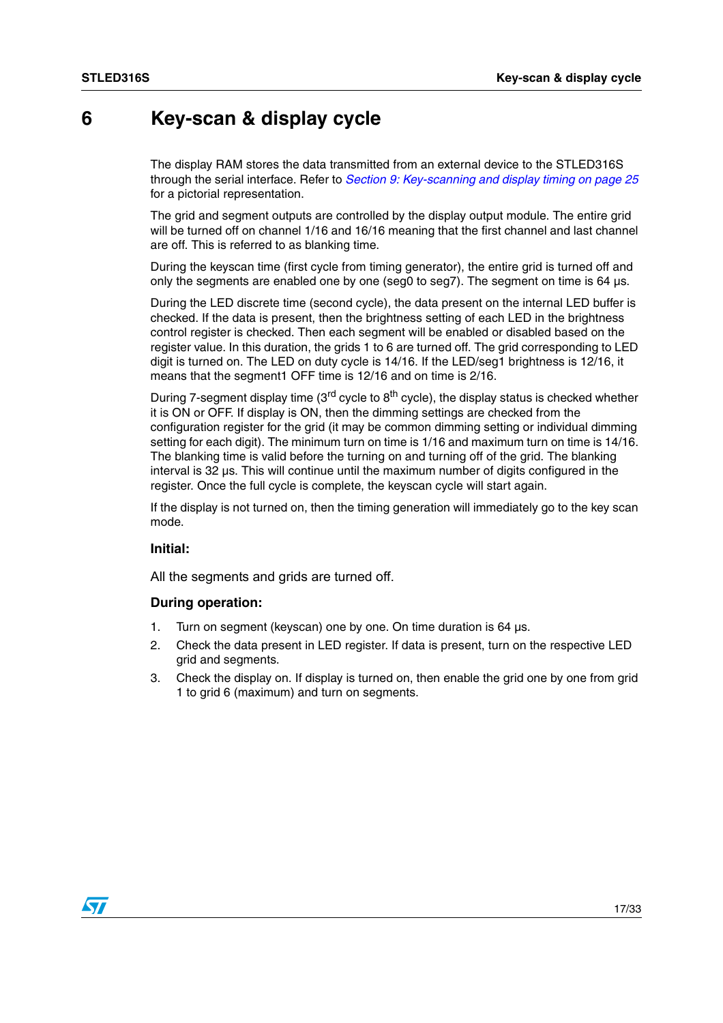### <span id="page-16-0"></span>**6 Key-scan & display cycle**

The display RAM stores the data transmitted from an external device to the STLED316S through the serial interface. Refer to *[Section 9: Key-scanning and display timing on page 25](#page-24-0)* for a pictorial representation.

The grid and segment outputs are controlled by the display output module. The entire grid will be turned off on channel 1/16 and 16/16 meaning that the first channel and last channel are off. This is referred to as blanking time.

During the keyscan time (first cycle from timing generator), the entire grid is turned off and only the segments are enabled one by one (seg0 to seg7). The segment on time is 64 µs.

During the LED discrete time (second cycle), the data present on the internal LED buffer is checked. If the data is present, then the brightness setting of each LED in the brightness control register is checked. Then each segment will be enabled or disabled based on the register value. In this duration, the grids 1 to 6 are turned off. The grid corresponding to LED digit is turned on. The LED on duty cycle is 14/16. If the LED/seg1 brightness is 12/16, it means that the segment1 OFF time is 12/16 and on time is 2/16.

During 7-segment display time ( $3<sup>rd</sup>$  cycle to  $8<sup>th</sup>$  cycle), the display status is checked whether it is ON or OFF. If display is ON, then the dimming settings are checked from the configuration register for the grid (it may be common dimming setting or individual dimming setting for each digit). The minimum turn on time is 1/16 and maximum turn on time is 14/16. The blanking time is valid before the turning on and turning off of the grid. The blanking interval is 32 µs. This will continue until the maximum number of digits configured in the register. Once the full cycle is complete, the keyscan cycle will start again.

If the display is not turned on, then the timing generation will immediately go to the key scan mode.

#### **Initial:**

All the segments and grids are turned off.

#### **During operation:**

- 1. Turn on segment (keyscan) one by one. On time duration is 64 µs.
- 2. Check the data present in LED register. If data is present, turn on the respective LED grid and segments.
- 3. Check the display on. If display is turned on, then enable the grid one by one from grid 1 to grid 6 (maximum) and turn on segments.

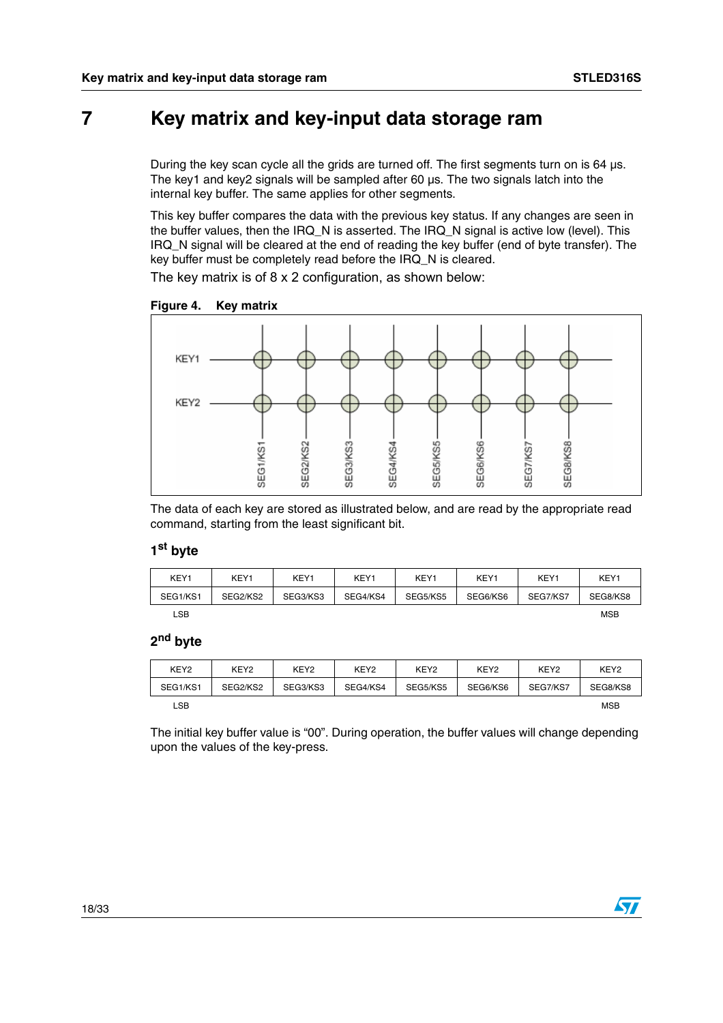## <span id="page-17-0"></span>**7 Key matrix and key-input data storage ram**

During the key scan cycle all the grids are turned off. The first segments turn on is 64 µs. The key1 and key2 signals will be sampled after 60 µs. The two signals latch into the internal key buffer. The same applies for other segments.

This key buffer compares the data with the previous key status. If any changes are seen in the buffer values, then the IRQ\_N is asserted. The IRQ\_N signal is active low (level). This IRQ\_N signal will be cleared at the end of reading the key buffer (end of byte transfer). The key buffer must be completely read before the IRQ\_N is cleared.

The key matrix is of 8 x 2 configuration, as shown below:

<span id="page-17-1"></span>



The data of each key are stored as illustrated below, and are read by the appropriate read command, starting from the least significant bit.

#### **1st byte**

| KEY1     | KEY1     | KEY1     | KEY1     | KEY1     | KEY1     | KEY1     | KEY1       |
|----------|----------|----------|----------|----------|----------|----------|------------|
| SEG1/KS1 | SEG2/KS2 | SEG3/KS3 | SEG4/KS4 | SEG5/KS5 | SEG6/KS6 | SEG7/KS7 | SEG8/KS8   |
| LSB      |          |          |          |          |          |          | <b>MSB</b> |

#### **2nd byte**

| KEY <sub>2</sub> | KEY <sub>2</sub> | KEY <sub>2</sub> | KEY <sub>2</sub> | KEY <sub>2</sub> | KEY <sub>2</sub> | KEY <sub>2</sub> | KEY <sub>2</sub> |
|------------------|------------------|------------------|------------------|------------------|------------------|------------------|------------------|
| SEG1/KS1         | SEG2/KS2         | SEG3/KS3         | SEG4/KS4         | SEG5/KS5         | SEG6/KS6         | SEG7/KS7         | SEG8/KS8         |
| _SB.             |                  |                  |                  |                  |                  |                  | <b>MSB</b>       |

The initial key buffer value is "00". During operation, the buffer values will change depending upon the values of the key-press.

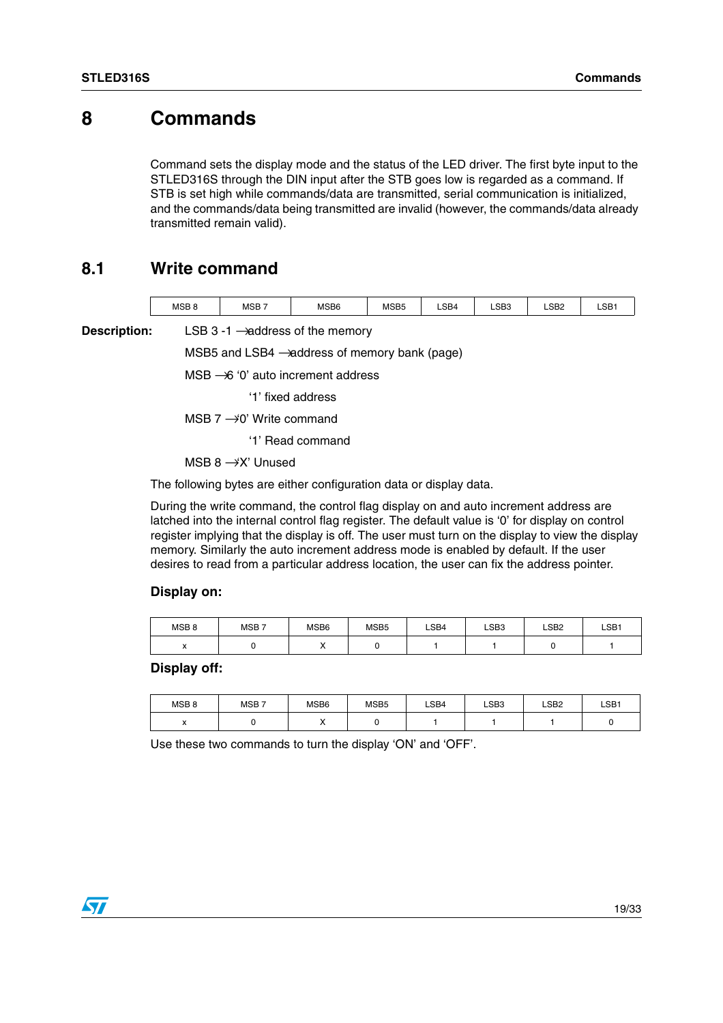### <span id="page-18-0"></span>**8 Commands**

Command sets the display mode and the status of the LED driver. The first byte input to the STLED316S through the DIN input after the STB goes low is regarded as a command. If STB is set high while commands/data are transmitted, serial communication is initialized, and the commands/data being transmitted are invalid (however, the commands/data already transmitted remain valid).

### <span id="page-18-1"></span>**8.1 Write command**

| <b>MSB</b><br>MSB <sub>8</sub> | MSB <sub>6</sub> | MSB <sub>5</sub> | ∟SB4<br>-- | CDC<br>LODJ<br>$\sim$ $\sim$ $\sim$ $\sim$ $\sim$ $\sim$ | ∟SB2 | LSB <sup>-</sup><br>--- |
|--------------------------------|------------------|------------------|------------|----------------------------------------------------------|------|-------------------------|
|--------------------------------|------------------|------------------|------------|----------------------------------------------------------|------|-------------------------|

**Description:** LSB 3 -1  $\rightarrow$  address of the memory

MSB5 and LSB4  $\rightarrow$  address of memory bank (page)

 $MSB \rightarrow 6$  '0' auto increment address

'1' fixed address

MSB  $7 \rightarrow 0'$  Write command

'1' Read command

MSB  $8 \rightarrow X'$  Unused

The following bytes are either configuration data or display data.

During the write command, the control flag display on and auto increment address are latched into the internal control flag register. The default value is '0' for display on control register implying that the display is off. The user must turn on the display to view the display memory. Similarly the auto increment address mode is enabled by default. If the user desires to read from a particular address location, the user can fix the address pointer.

#### **Display on:**

| MSB <sub>8</sub> | MSB <sub>7</sub> | MSB6 | MSB <sub>5</sub> | LSB4 | LSB <sub>3</sub> | LSB <sub>2</sub> | LSB <sub>1</sub> |
|------------------|------------------|------|------------------|------|------------------|------------------|------------------|
|                  |                  | ,,   |                  |      |                  |                  |                  |

**Display off:**

| MSB <sub>8</sub>         | MSB <sub>7</sub> | MSB6 | MSB <sub>5</sub> | ∟SB4 | LSB <sub>3</sub> | LSB <sub>2</sub> | LSB <sub>1</sub> |
|--------------------------|------------------|------|------------------|------|------------------|------------------|------------------|
| $\overline{\phantom{a}}$ |                  | ,,   |                  |      |                  |                  |                  |

Use these two commands to turn the display 'ON' and 'OFF'.

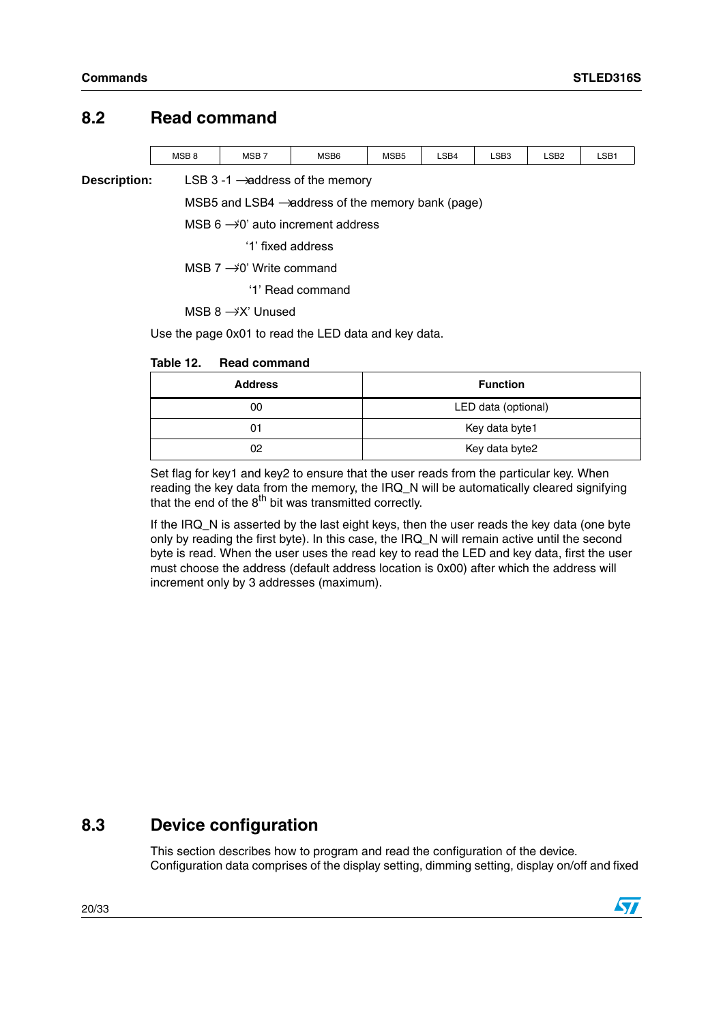#### <span id="page-19-0"></span>**8.2 Read command**

| <b>MSB</b> | $MSB^-$ | MSB6 | MSB <sub>5</sub> | LSB4 | LSB3 | LSB2 | LSB |
|------------|---------|------|------------------|------|------|------|-----|
|            |         |      |                  |      |      |      |     |
|            |         |      |                  |      | -- - | ____ |     |

**Description:** LSB 3 -1  $\rightarrow$  address of the memory

MSB5 and LSB4  $\rightarrow$  address of the memory bank (page)

MSB  $6 \rightarrow 0'$  auto increment address

'1' fixed address

MSB  $7 \rightarrow 0'$  Write command

'1' Read command

MSB  $8 \rightarrow X'$  Unused

Use the page 0x01 to read the LED data and key data.

#### <span id="page-19-2"></span>Table 12. **Table 12. Read command**

| <b>Address</b> | <b>Function</b>     |
|----------------|---------------------|
| 00             | LED data (optional) |
|                | Key data byte1      |
| 02             | Key data byte2      |

Set flag for key1 and key2 to ensure that the user reads from the particular key. When reading the key data from the memory, the IRQ\_N will be automatically cleared signifying that the end of the  $8<sup>th</sup>$  bit was transmitted correctly.

If the IRQ N is asserted by the last eight keys, then the user reads the key data (one byte only by reading the first byte). In this case, the IRQ\_N will remain active until the second byte is read. When the user uses the read key to read the LED and key data, first the user must choose the address (default address location is 0x00) after which the address will increment only by 3 addresses (maximum).

### <span id="page-19-1"></span>**8.3 Device configuration**

This section describes how to program and read the configuration of the device. Configuration data comprises of the display setting, dimming setting, display on/off and fixed

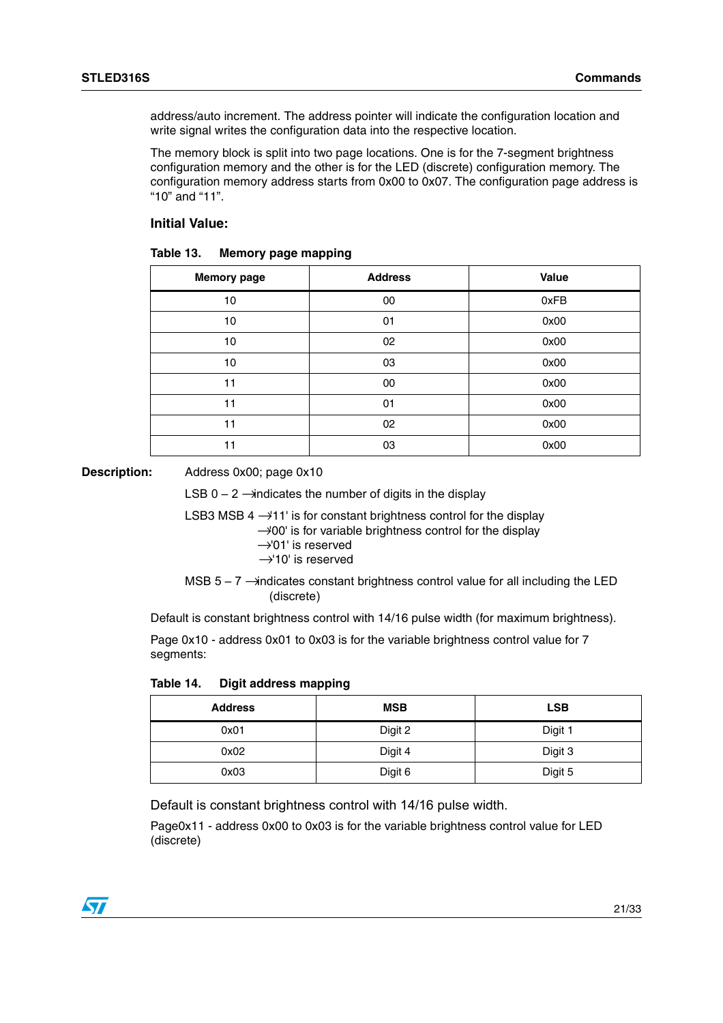address/auto increment. The address pointer will indicate the configuration location and write signal writes the configuration data into the respective location.

The memory block is split into two page locations. One is for the 7-segment brightness configuration memory and the other is for the LED (discrete) configuration memory. The configuration memory address starts from 0x00 to 0x07. The configuration page address is "10" and "11".

#### **Initial Value:**

<span id="page-20-0"></span>

| Table 13.<br><b>Memory page mapping</b> |  |
|-----------------------------------------|--|
|-----------------------------------------|--|

| <b>Memory page</b> | <b>Address</b> | Value |
|--------------------|----------------|-------|
| 10                 | 00             | 0xFB  |
| 10                 | 01             | 0x00  |
| 10                 | 02             | 0x00  |
| 10                 | 03             | 0x00  |
| 11                 | 00             | 0x00  |
| 11                 | 01             | 0x00  |
| 11                 | 02             | 0x00  |
| 11                 | 03             | 0x00  |

**Description:** Address 0x00; page 0x10

LSB  $0 - 2$   $\rightarrow$  indicates the number of digits in the display

LSB3 MSB  $4 \rightarrow 11'$  is for constant brightness control for the display

 $\rightarrow$  00' is for variable brightness control for the display

- $\rightarrow$ '01' is reserved
- →'10' is reserved
- MSB  $5 7$   $\rightarrow$  indicates constant brightness control value for all including the LED (discrete)

Default is constant brightness control with 14/16 pulse width (for maximum brightness).

Page 0x10 - address 0x01 to 0x03 is for the variable brightness control value for 7 segments:

<span id="page-20-1"></span>**Table 14. Digit address mapping**

| <b>Address</b> | <b>MSB</b> | <b>LSB</b> |
|----------------|------------|------------|
| 0x01           | Digit 2    | Digit 1    |
| 0x02           | Digit 4    | Digit 3    |
| 0x03           | Digit 6    | Digit 5    |

Default is constant brightness control with 14/16 pulse width.

Page0x11 - address 0x00 to 0x03 is for the variable brightness control value for LED (discrete)

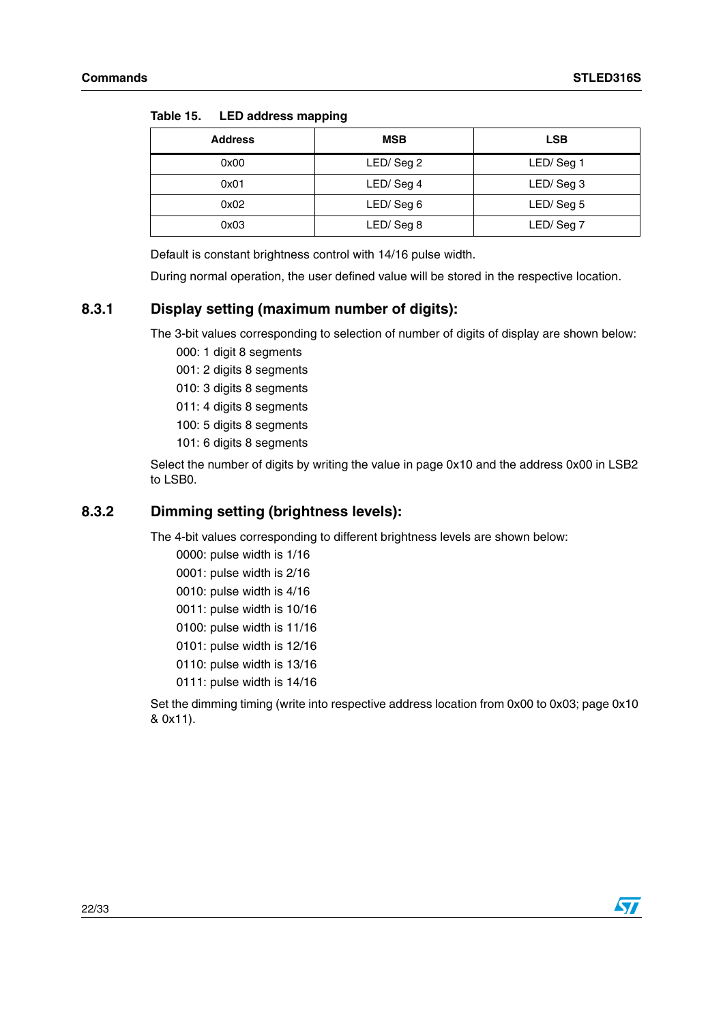| <b>Address</b> | <b>MSB</b> | <b>LSB</b> |  |
|----------------|------------|------------|--|
| 0x00           | LED/Seg 2  | LED/Seg 1  |  |
| 0x01           | LED/Seg 4  | LED/Seg 3  |  |
| 0x02           | LED/Seg 6  | LED/Seg 5  |  |
| 0x03           | LED/Seg 8  | LED/Seg 7  |  |

<span id="page-21-2"></span>**Table 15. LED address mapping**

Default is constant brightness control with 14/16 pulse width.

During normal operation, the user defined value will be stored in the respective location.

#### <span id="page-21-0"></span>**8.3.1 Display setting (maximum number of digits):**

The 3-bit values corresponding to selection of number of digits of display are shown below:

- 000: 1 digit 8 segments
- 001: 2 digits 8 segments
- 010: 3 digits 8 segments
- 011: 4 digits 8 segments
- 100: 5 digits 8 segments
- 101: 6 digits 8 segments

Select the number of digits by writing the value in page 0x10 and the address 0x00 in LSB2 to LSB0.

#### <span id="page-21-1"></span>**8.3.2 Dimming setting (brightness levels):**

The 4-bit values corresponding to different brightness levels are shown below:

0000: pulse width is 1/16 0001: pulse width is 2/16 0010: pulse width is 4/16 0011: pulse width is 10/16 0100: pulse width is 11/16 0101: pulse width is 12/16 0110: pulse width is 13/16 0111: pulse width is 14/16

Set the dimming timing (write into respective address location from 0x00 to 0x03; page 0x10 & 0x11).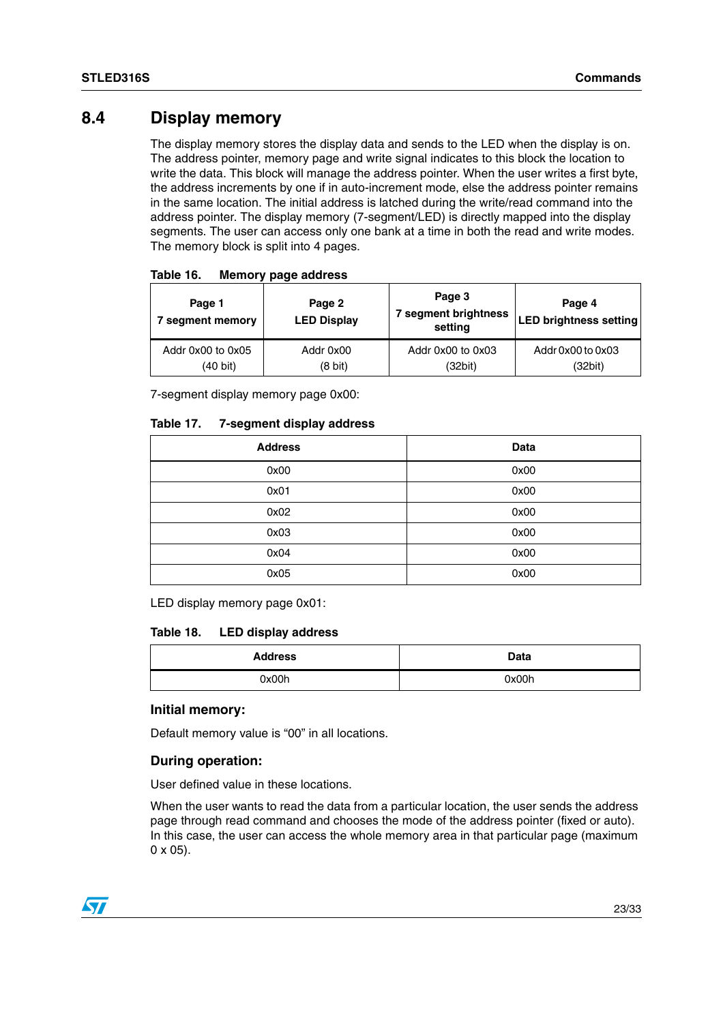### <span id="page-22-0"></span>**8.4 Display memory**

The display memory stores the display data and sends to the LED when the display is on. The address pointer, memory page and write signal indicates to this block the location to write the data. This block will manage the address pointer. When the user writes a first byte, the address increments by one if in auto-increment mode, else the address pointer remains in the same location. The initial address is latched during the write/read command into the address pointer. The display memory (7-segment/LED) is directly mapped into the display segments. The user can access only one bank at a time in both the read and write modes. The memory block is split into 4 pages.

| Page 1<br>segment memory | Page 2<br><b>LED Display</b> | Page 3<br>7 segment brightness<br>setting | Page 4<br><b>LED brightness setting</b> |  |
|--------------------------|------------------------------|-------------------------------------------|-----------------------------------------|--|
| Addr 0x00 to 0x05        | Addr 0x00                    | Addr 0x00 to 0x03                         | Addr 0x00 to 0x03                       |  |
| (40 bit)                 | $(8 \text{ bit})$            | (32bit)                                   | (32bit)                                 |  |

<span id="page-22-1"></span>

| Table 16.<br><b>Memory page address</b> |
|-----------------------------------------|
|-----------------------------------------|

7-segment display memory page 0x00:

<span id="page-22-2"></span>

| Table 17. | 7-segment display address |  |  |
|-----------|---------------------------|--|--|
|-----------|---------------------------|--|--|

| <b>Address</b> | Data |
|----------------|------|
| 0x00           | 0x00 |
| 0x01           | 0x00 |
| 0x02           | 0x00 |
| 0x03           | 0x00 |
| 0x04           | 0x00 |
| 0x05           | 0x00 |

LED display memory page 0x01:

#### <span id="page-22-3"></span>**Table 18. LED display address**

| <b>Address</b> | <b>Data</b> |  |
|----------------|-------------|--|
| 0x00h          | 0x00h       |  |

#### **Initial memory:**

Default memory value is "00" in all locations.

#### **During operation:**

User defined value in these locations.

When the user wants to read the data from a particular location, the user sends the address page through read command and chooses the mode of the address pointer (fixed or auto). In this case, the user can access the whole memory area in that particular page (maximum 0 x 05).

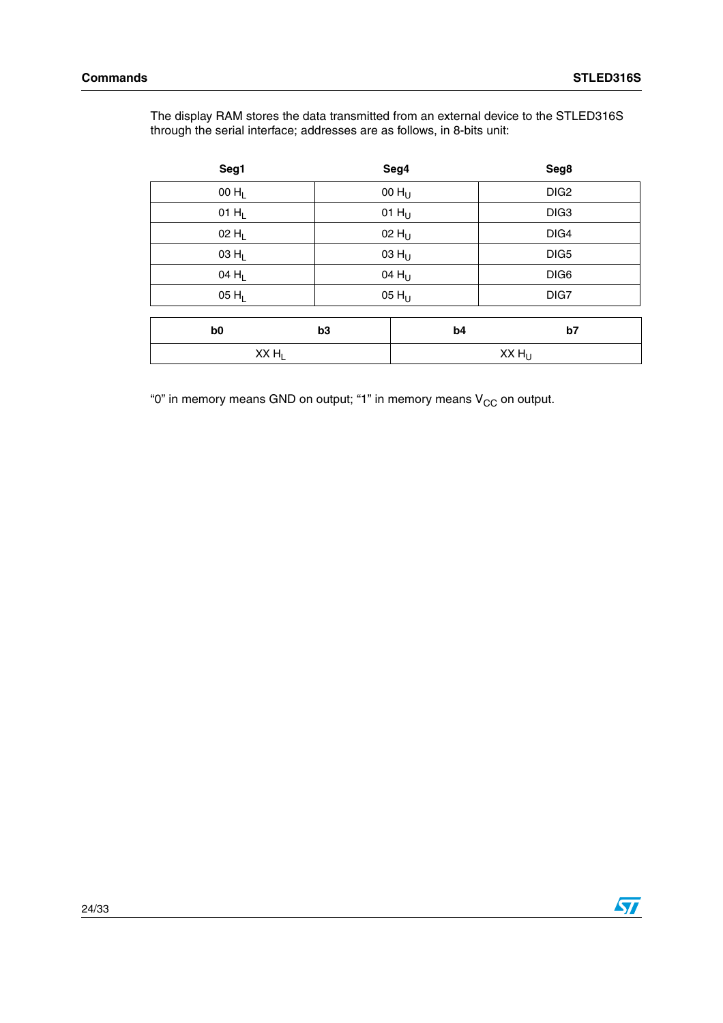The display RAM stores the data transmitted from an external device to the STLED316S through the serial interface; addresses are as follows, in 8-bits unit:

| Seg1              |                   | Seg4              | Seg8              |  |  |
|-------------------|-------------------|-------------------|-------------------|--|--|
| $00 H_L$          |                   | 00 $H_U$          | DIG <sub>2</sub>  |  |  |
| 01 $H_L$          |                   | 01 H <sub>U</sub> | DIG <sub>3</sub>  |  |  |
| $02 H_L$          |                   | 02 H <sub>U</sub> | DIG4              |  |  |
| $03 H_L$          |                   | $03 H_U$          | DIG5              |  |  |
| 04 H <sub>L</sub> | 04 $H_U$          |                   | DIG6              |  |  |
| $05 H_L$          | 05 H <sub>U</sub> |                   | DIG7              |  |  |
|                   |                   |                   |                   |  |  |
| b <sub>0</sub>    | b3                | b <sub>4</sub>    | b7                |  |  |
| $XX H_L$          |                   |                   | XX H <sub>U</sub> |  |  |

"0" in memory means GND on output; "1" in memory means  $V_{CC}$  on output.

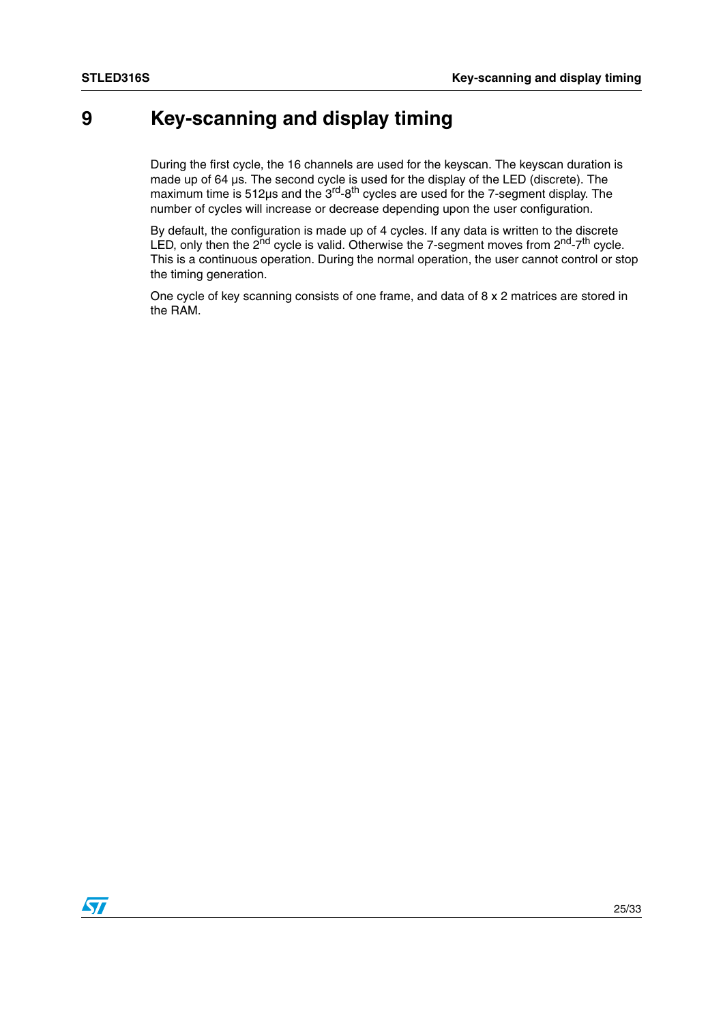# <span id="page-24-0"></span>**9 Key-scanning and display timing**

During the first cycle, the 16 channels are used for the keyscan. The keyscan duration is made up of 64 µs. The second cycle is used for the display of the LED (discrete). The maximum time is 512µs and the 3<sup>rd</sup>-8<sup>th</sup> cycles are used for the 7-segment display. The number of cycles will increase or decrease depending upon the user configuration.

By default, the configuration is made up of 4 cycles. If any data is written to the discrete LED, only then the  $2<sup>nd</sup>$  cycle is valid. Otherwise the 7-segment moves from  $2<sup>nd</sup>-7<sup>th</sup>$  cycle. This is a continuous operation. During the normal operation, the user cannot control or stop the timing generation.

One cycle of key scanning consists of one frame, and data of 8 x 2 matrices are stored in the RAM.

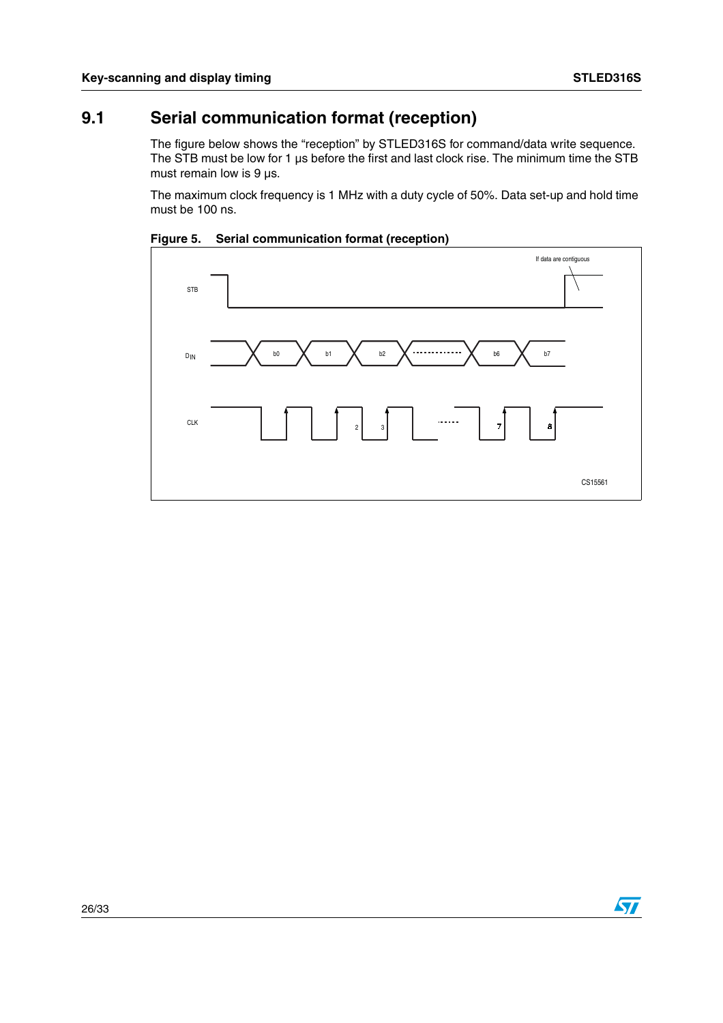$\sqrt{27}$ 

## <span id="page-25-0"></span>**9.1 Serial communication format (reception)**

The figure below shows the "reception" by STLED316S for command/data write sequence. The STB must be low for 1 µs before the first and last clock rise. The minimum time the STB must remain low is  $9 \mu s$ .

The maximum clock frequency is 1 MHz with a duty cycle of 50%. Data set-up and hold time must be 100 ns.



<span id="page-25-1"></span>**Figure 5. Serial communication format (reception)**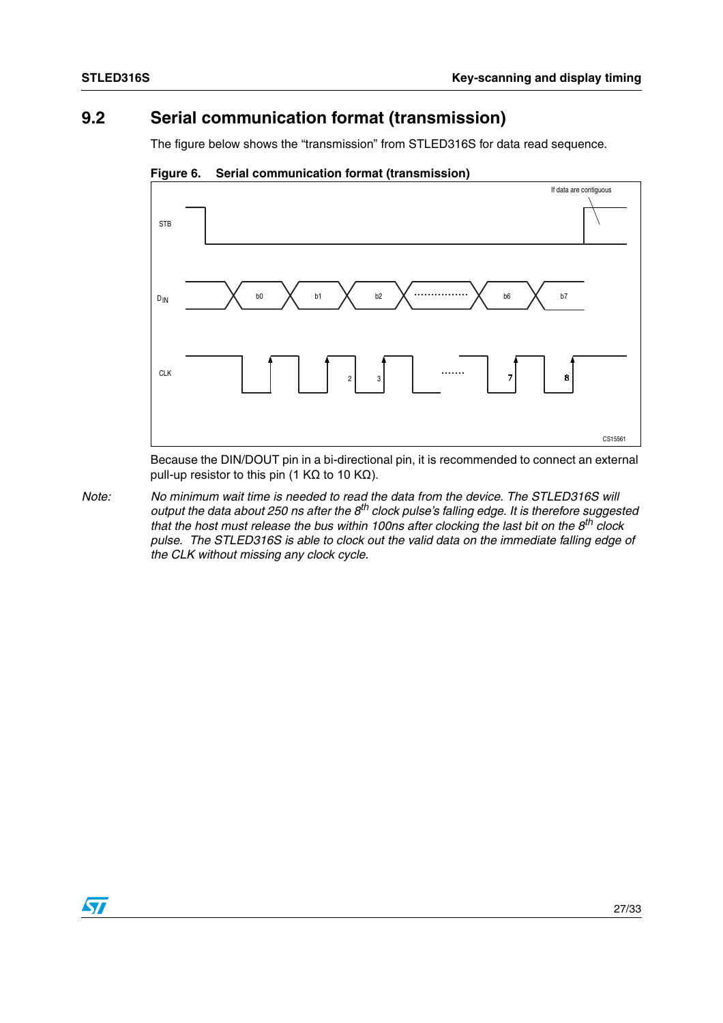### <span id="page-26-0"></span>**9.2 Serial communication format (transmission)**

The figure below shows the "transmission" from STLED316S for data read sequence.



<span id="page-26-1"></span>**Figure 6. Serial communication format (transmission)**

Because the DIN/DOUT pin in a bi-directional pin, it is recommended to connect an external pull-up resistor to this pin (1 KΩ to 10 KΩ).

*Note: No minimum wait time is needed to read the data from the device. The STLED316S will output the data about 250 ns after the 8th clock pulse's falling edge. It is therefore suggested that the host must release the bus within 100ns after clocking the last bit on the 8th clock pulse. The STLED316S is able to clock out the valid data on the immediate falling edge of the CLK without missing any clock cycle.* 

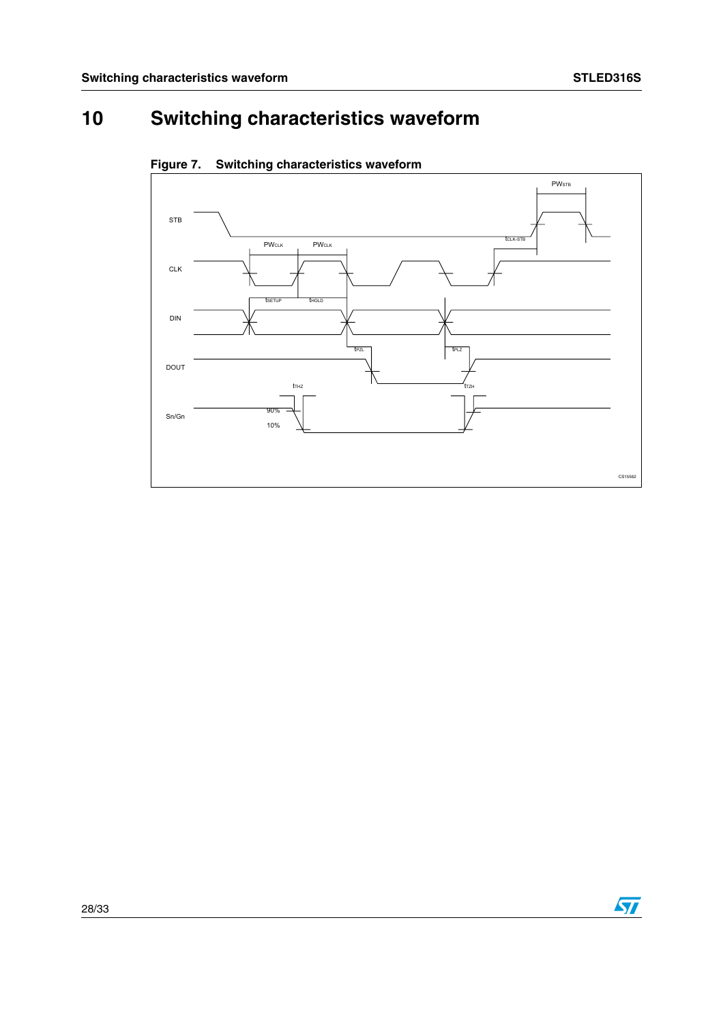# <span id="page-27-0"></span>**10 Switching characteristics waveform**



<span id="page-27-1"></span>**Figure 7. Switching characteristics waveform**

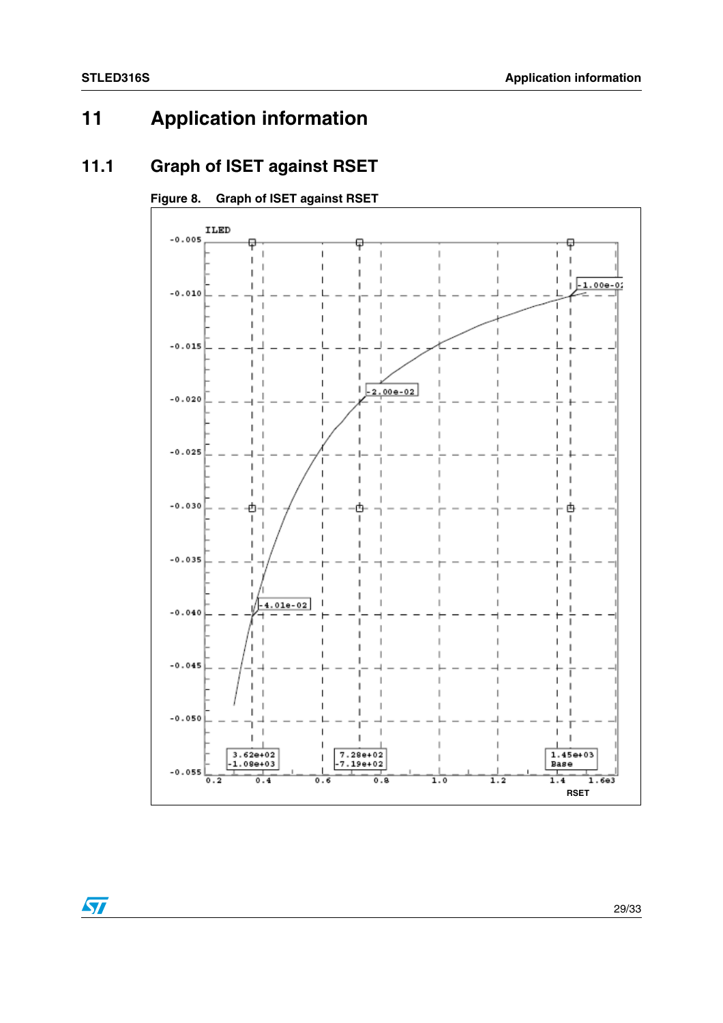# <span id="page-28-0"></span>**11 Application information**

### <span id="page-28-1"></span>**11.1 Graph of ISET against RSET**

#### <span id="page-28-2"></span>**Figure 8. Graph of ISET against RSET**



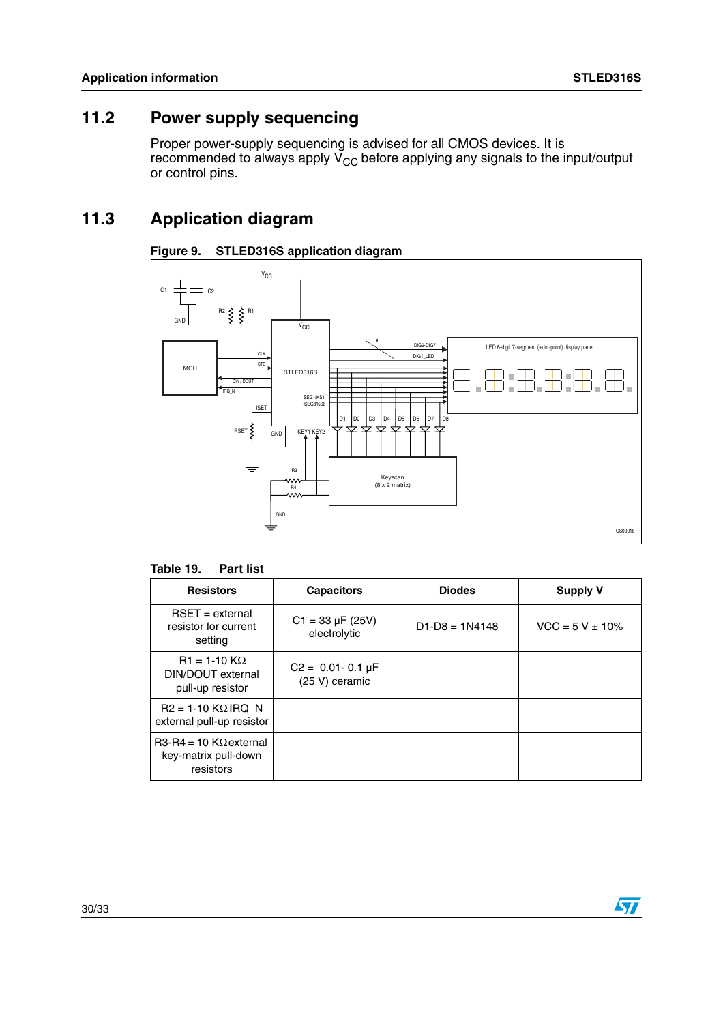### <span id="page-29-0"></span>**11.2 Power supply sequencing**

Proper power-supply sequencing is advised for all CMOS devices. It is recommended to always apply  $V_{CC}$  before applying any signals to the input/output or control pins.

### <span id="page-29-1"></span>**11.3 Application diagram**

#### <span id="page-29-2"></span>**Figure 9. STLED316S application diagram**



#### <span id="page-29-3"></span>**Table 19. Part list**

| <b>Resistors</b>                                                   | <b>Capacitors</b>                         | <b>Diodes</b>    | <b>Supply V</b>      |  |
|--------------------------------------------------------------------|-------------------------------------------|------------------|----------------------|--|
| $RSET = external$<br>resistor for current<br>setting               | $C1 = 33 \mu F (25V)$<br>electrolytic     | $D1-D8 = 1N4148$ | $VCC = 5 V \pm 10\%$ |  |
| $R1 = 1-10$ K $\Omega$<br>DIN/DOUT external<br>pull-up resistor    | $C2 = 0.01 - 0.1 \mu F$<br>(25 V) ceramic |                  |                      |  |
| $R2 = 1-10$ KQ IRQ N<br>external pull-up resistor                  |                                           |                  |                      |  |
| $R3-R4 = 10 K\Omega$ external<br>key-matrix pull-down<br>resistors |                                           |                  |                      |  |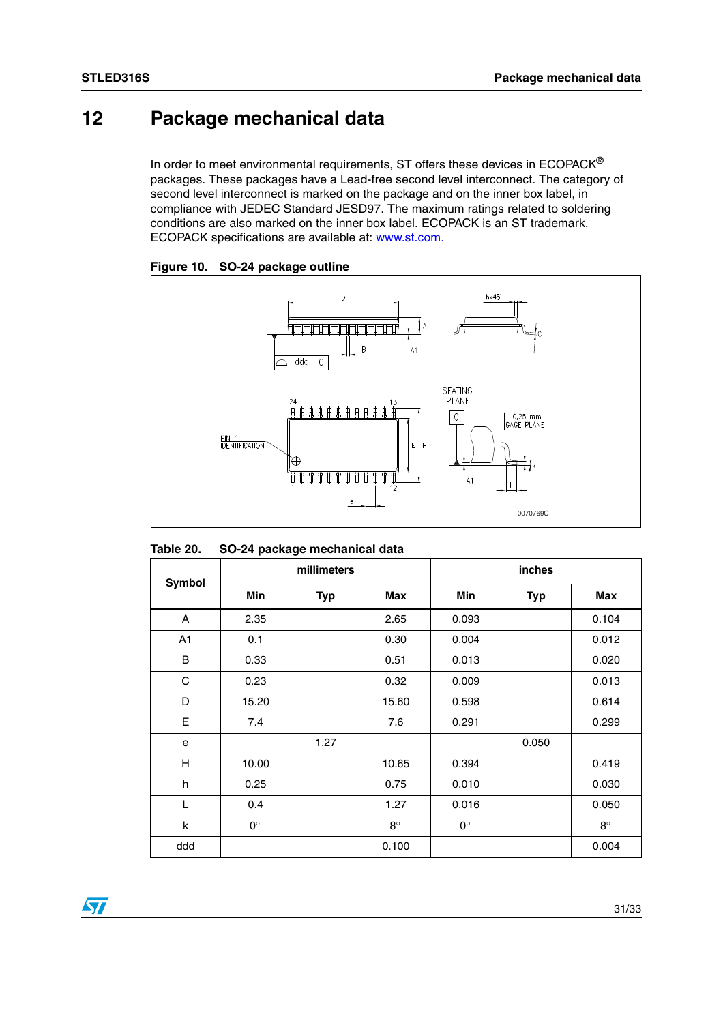# <span id="page-30-0"></span>**12 Package mechanical data**

In order to meet environmental requirements, ST offers these devices in  $ECOPACK^{\circledcirc}$ packages. These packages have a Lead-free second level interconnect. The category of second level interconnect is marked on the package and on the inner box label, in compliance with JEDEC Standard JESD97. The maximum ratings related to soldering conditions are also marked on the inner box label. ECOPACK is an ST trademark. ECOPACK specifications are available at: www.st.com.



<span id="page-30-1"></span>**Figure 10. SO-24 package outline**

<span id="page-30-2"></span>

| Table 20. |  | SO-24 package mechanical data |
|-----------|--|-------------------------------|
|-----------|--|-------------------------------|

|               | millimeters |            |            | inches      |            |            |
|---------------|-------------|------------|------------|-------------|------------|------------|
| <b>Symbol</b> | Min         | <b>Typ</b> | <b>Max</b> | Min         | <b>Typ</b> | <b>Max</b> |
| A             | 2.35        |            | 2.65       | 0.093       |            | 0.104      |
| A1            | 0.1         |            | 0.30       | 0.004       |            | 0.012      |
| B             | 0.33        |            | 0.51       | 0.013       |            | 0.020      |
| C             | 0.23        |            | 0.32       | 0.009       |            | 0.013      |
| D             | 15.20       |            | 15.60      | 0.598       |            | 0.614      |
| E             | 7.4         |            | 7.6        | 0.291       |            | 0.299      |
| e             |             | 1.27       |            |             | 0.050      |            |
| H             | 10.00       |            | 10.65      | 0.394       |            | 0.419      |
| h             | 0.25        |            | 0.75       | 0.010       |            | 0.030      |
| L             | 0.4         |            | 1.27       | 0.016       |            | 0.050      |
| k             | $0^{\circ}$ |            | $8^\circ$  | $0^{\circ}$ |            | $8^\circ$  |
| ddd           |             |            | 0.100      |             |            | 0.004      |

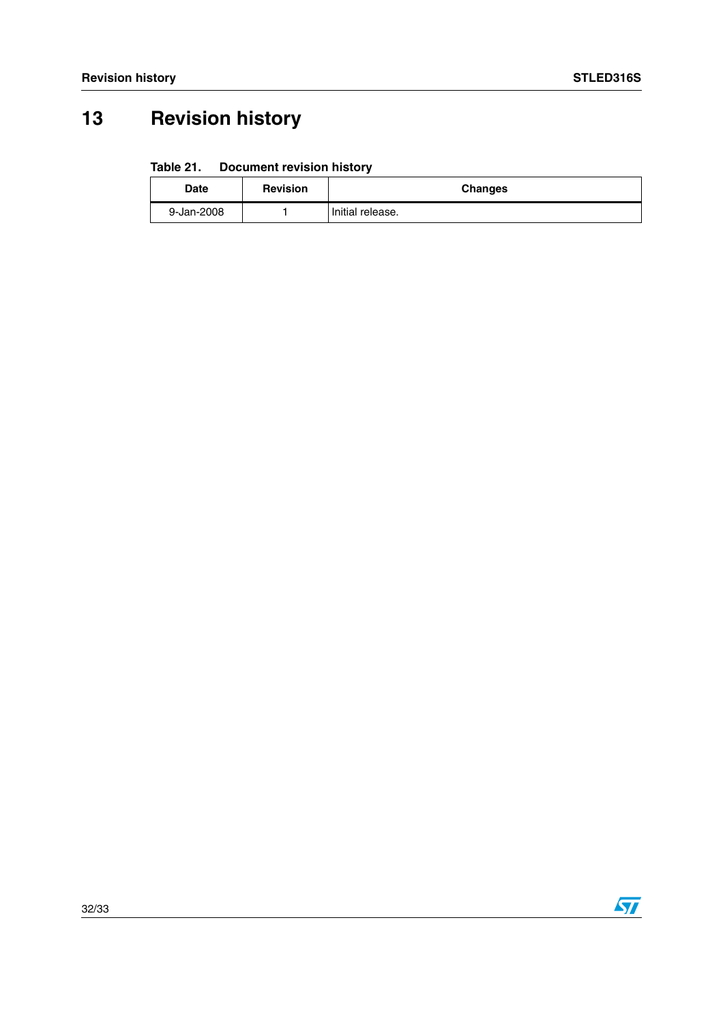# <span id="page-31-0"></span>**13 Revision history**

#### <span id="page-31-1"></span>Table 21. **Document revision history**

| <b>Date</b> | <b>Revision</b> | <b>Changes</b>   |
|-------------|-----------------|------------------|
| 9-Jan-2008  |                 | Initial release. |